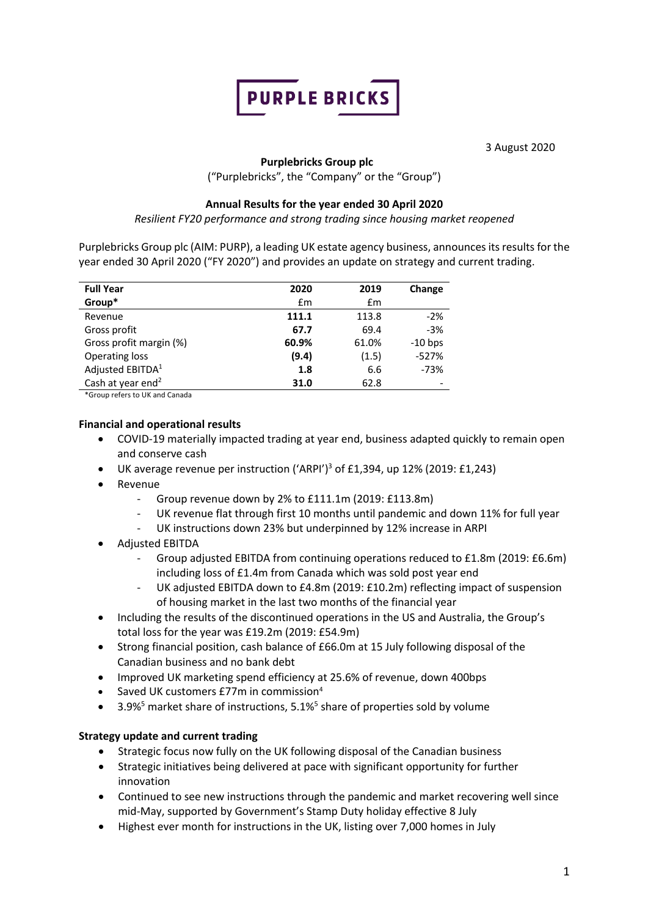

3 August 2020

# **Purplebricks Group plc**

("Purplebricks", the "Company" or the "Group")

# **Annual Results for the year ended 30 April 2020**

*Resilient FY20 performance and strong trading since housing market reopened*

Purplebricks Group plc (AIM: PURP), a leading UK estate agency business, announces its results for the year ended 30 April 2020 ("FY 2020") and provides an update on strategy and current trading.

| <b>Full Year</b>              | 2020  | 2019  | Change                   |
|-------------------------------|-------|-------|--------------------------|
| Group*                        | £m    | £m    |                          |
| Revenue                       | 111.1 | 113.8 | $-2%$                    |
| Gross profit                  | 67.7  | 69.4  | $-3%$                    |
| Gross profit margin (%)       | 60.9% | 61.0% | $-10$ bps                |
| <b>Operating loss</b>         | (9.4) | (1.5) | $-527%$                  |
| Adjusted EBITDA <sup>1</sup>  | 1.8   | 6.6   | $-73%$                   |
| Cash at year end <sup>2</sup> | 31.0  | 62.8  | $\overline{\phantom{0}}$ |

\*Group refers to UK and Canada

# **Financial and operational results**

- COVID-19 materially impacted trading at year end, business adapted quickly to remain open and conserve cash
- UK average revenue per instruction  $({'ARPI'}^3$  of £1,394, up 12% (2019: £1,243)
- Revenue
	- Group revenue down by 2% to £111.1m (2019: £113.8m)
	- UK revenue flat through first 10 months until pandemic and down 11% for full year
	- UK instructions down 23% but underpinned by 12% increase in ARPI
- Adjusted EBITDA
	- Group adjusted EBITDA from continuing operations reduced to £1.8m (2019: £6.6m) including loss of £1.4m from Canada which was sold post year end
	- UK adjusted EBITDA down to £4.8m (2019: £10.2m) reflecting impact of suspension of housing market in the last two months of the financial year
- Including the results of the discontinued operations in the US and Australia, the Group's total loss for the year was £19.2m (2019: £54.9m)
- Strong financial position, cash balance of £66.0m at 15 July following disposal of the Canadian business and no bank debt
- Improved UK marketing spend efficiency at 25.6% of revenue, down 400bps
- Saved UK customers £77m in commission<sup>4</sup>
- 3.9%<sup>5</sup> market share of instructions,  $5.1\%$ <sup>5</sup> share of properties sold by volume

# **Strategy update and current trading**

- Strategic focus now fully on the UK following disposal of the Canadian business
- Strategic initiatives being delivered at pace with significant opportunity for further innovation
- Continued to see new instructions through the pandemic and market recovering well since mid-May, supported by Government's Stamp Duty holiday effective 8 July
- Highest ever month for instructions in the UK, listing over 7,000 homes in July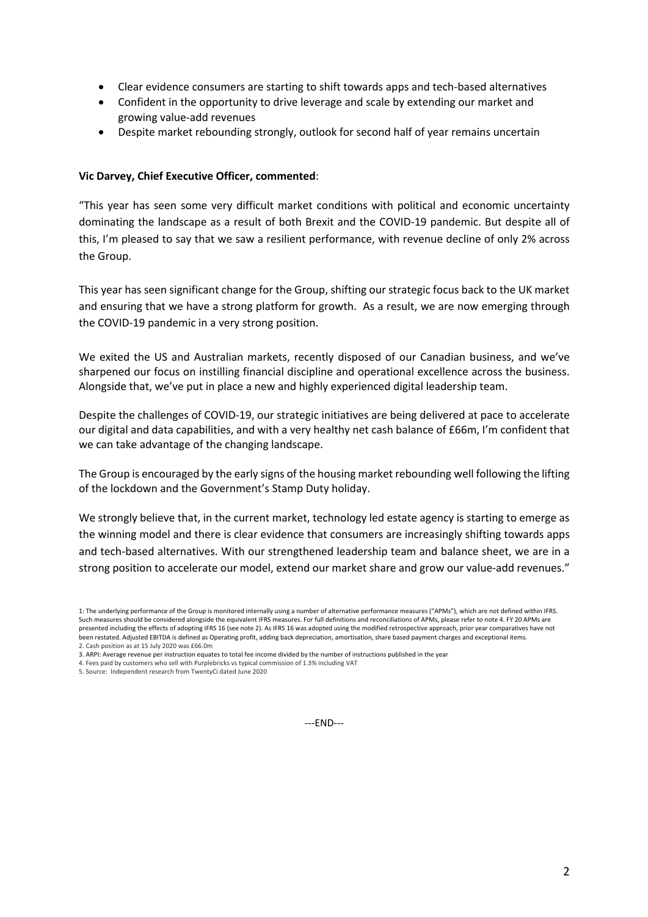- Clear evidence consumers are starting to shift towards apps and tech-based alternatives
- Confident in the opportunity to drive leverage and scale by extending our market and growing value-add revenues
- Despite market rebounding strongly, outlook for second half of year remains uncertain

## **Vic Darvey, Chief Executive Officer, commented**:

"This year has seen some very difficult market conditions with political and economic uncertainty dominating the landscape as a result of both Brexit and the COVID-19 pandemic. But despite all of this, I'm pleased to say that we saw a resilient performance, with revenue decline of only 2% across the Group.

This year has seen significant change for the Group, shifting our strategic focus back to the UK market and ensuring that we have a strong platform for growth. As a result, we are now emerging through the COVID-19 pandemic in a very strong position.

We exited the US and Australian markets, recently disposed of our Canadian business, and we've sharpened our focus on instilling financial discipline and operational excellence across the business. Alongside that, we've put in place a new and highly experienced digital leadership team.

Despite the challenges of COVID-19, our strategic initiatives are being delivered at pace to accelerate our digital and data capabilities, and with a very healthy net cash balance of £66m, I'm confident that we can take advantage of the changing landscape.

The Group is encouraged by the early signs of the housing market rebounding well following the lifting of the lockdown and the Government's Stamp Duty holiday.

We strongly believe that, in the current market, technology led estate agency is starting to emerge as the winning model and there is clear evidence that consumers are increasingly shifting towards apps and tech-based alternatives. With our strengthened leadership team and balance sheet, we are in a strong position to accelerate our model, extend our market share and grow our value-add revenues."

4. Fees paid by customers who sell with Purplebricks vs typical commission of 1.3% including VAT

---END---

<sup>1:</sup> The underlying performance of the Group is monitored internally using a number of alternative performance measures ("APMs"), which are not defined within IFRS. Such measures should be considered alongside the equivalent IFRS measures. For full definitions and reconciliations of APMs, please refer to note 4. FY 20 APMs are presented including the effects of adopting IFRS 16 (see note 2). As IFRS 16 was adopted using the modified retrospective approach, prior year comparatives have not been restated. Adjusted EBITDA is defined as Operating profit, adding back depreciation, amortisation, share based payment charges and exceptional items. 2. Cash position as at 15 July 2020 was £66.0m

<sup>3.</sup> ARPI: Average revenue per instruction equates to total fee income divided by the number of instructions published in the year

<sup>5.</sup> Source: Independent research from TwentyCi dated June 2020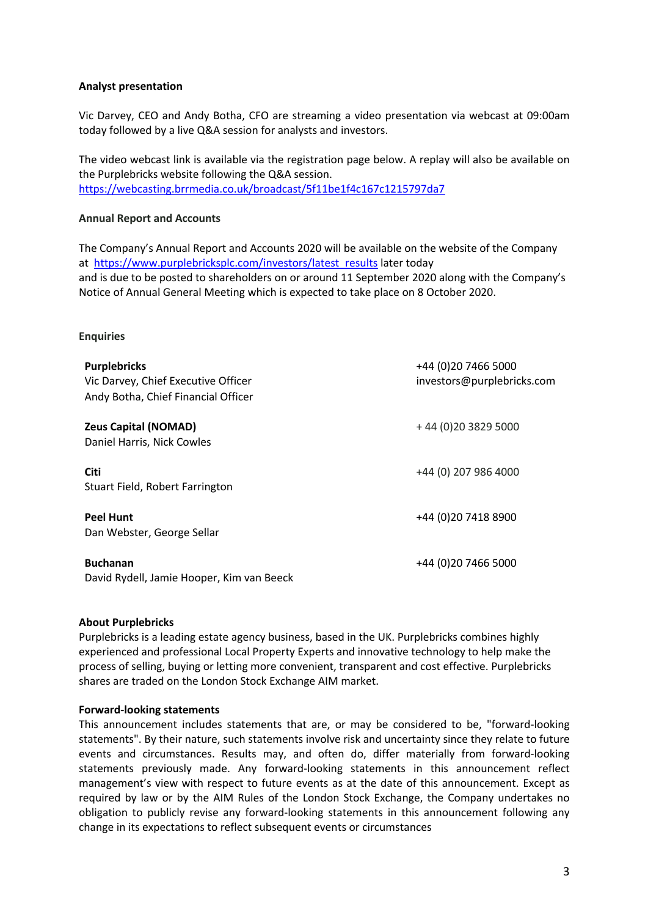# **Analyst presentation**

Vic Darvey, CEO and Andy Botha, CFO are streaming a video presentation via webcast at 09:00am today followed by a live Q&A session for analysts and investors.

The video webcast link is available via the registration page below. A replay will also be available on the Purplebricks website following the Q&A session. https://webcasting.brrmedia.co.uk/broadcast/5f11be1f4c167c1215797da7

# **Annual Report and Accounts**

The Company's Annual Report and Accounts 2020 will be available on the website of the Company at https://www.purplebricksplc.com/investors/latest\_results later today and is due to be posted to shareholders on or around 11 September 2020 along with the Company's Notice of Annual General Meeting which is expected to take place on 8 October 2020.

## **Enquiries**

| <b>Purplebricks</b><br>Vic Darvey, Chief Executive Officer<br>Andy Botha, Chief Financial Officer | +44 (0)20 7466 5000<br>investors@purplebricks.com |
|---------------------------------------------------------------------------------------------------|---------------------------------------------------|
| <b>Zeus Capital (NOMAD)</b><br>Daniel Harris, Nick Cowles                                         | +44 (0) 20 3829 5000                              |
| <b>Citi</b><br>Stuart Field, Robert Farrington                                                    | +44 (0) 207 986 4000                              |
| <b>Peel Hunt</b><br>Dan Webster, George Sellar                                                    | +44 (0) 20 7418 8900                              |
| <b>Buchanan</b><br>David Rydell, Jamie Hooper, Kim van Beeck                                      | +44 (0)20 7466 5000                               |

## **About Purplebricks**

Purplebricks is a leading estate agency business, based in the UK. Purplebricks combines highly experienced and professional Local Property Experts and innovative technology to help make the process of selling, buying or letting more convenient, transparent and cost effective. Purplebricks shares are traded on the London Stock Exchange AIM market.

## **Forward-looking statements**

This announcement includes statements that are, or may be considered to be, "forward-looking statements". By their nature, such statements involve risk and uncertainty since they relate to future events and circumstances. Results may, and often do, differ materially from forward-looking statements previously made. Any forward-looking statements in this announcement reflect management's view with respect to future events as at the date of this announcement. Except as required by law or by the AIM Rules of the London Stock Exchange, the Company undertakes no obligation to publicly revise any forward-looking statements in this announcement following any change in its expectations to reflect subsequent events or circumstances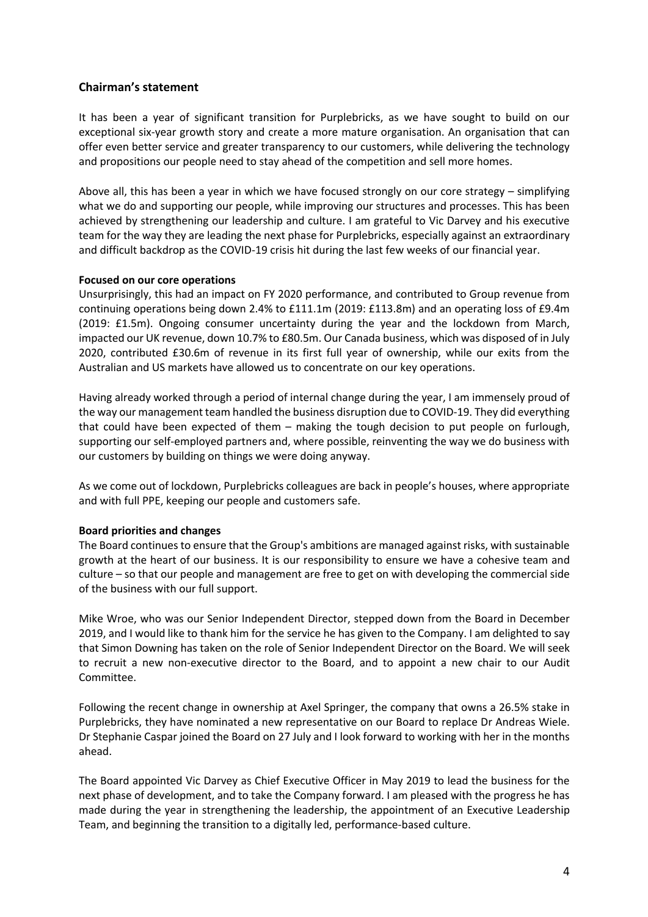# **Chairman's statement**

It has been a year of significant transition for Purplebricks, as we have sought to build on our exceptional six-year growth story and create a more mature organisation. An organisation that can offer even better service and greater transparency to our customers, while delivering the technology and propositions our people need to stay ahead of the competition and sell more homes.

Above all, this has been a year in which we have focused strongly on our core strategy – simplifying what we do and supporting our people, while improving our structures and processes. This has been achieved by strengthening our leadership and culture. I am grateful to Vic Darvey and his executive team for the way they are leading the next phase for Purplebricks, especially against an extraordinary and difficult backdrop as the COVID-19 crisis hit during the last few weeks of our financial year.

## **Focused on our core operations**

Unsurprisingly, this had an impact on FY 2020 performance, and contributed to Group revenue from continuing operations being down 2.4% to £111.1m (2019: £113.8m) and an operating loss of £9.4m (2019: £1.5m). Ongoing consumer uncertainty during the year and the lockdown from March, impacted our UK revenue, down 10.7% to £80.5m. Our Canada business, which was disposed of in July 2020, contributed £30.6m of revenue in its first full year of ownership, while our exits from the Australian and US markets have allowed us to concentrate on our key operations.

Having already worked through a period of internal change during the year, I am immensely proud of the way our management team handled the business disruption due to COVID-19. They did everything that could have been expected of them – making the tough decision to put people on furlough, supporting our self-employed partners and, where possible, reinventing the way we do business with our customers by building on things we were doing anyway.

As we come out of lockdown, Purplebricks colleagues are back in people's houses, where appropriate and with full PPE, keeping our people and customers safe.

## **Board priorities and changes**

The Board continues to ensure that the Group's ambitions are managed against risks, with sustainable growth at the heart of our business. It is our responsibility to ensure we have a cohesive team and culture – so that our people and management are free to get on with developing the commercial side of the business with our full support.

Mike Wroe, who was our Senior Independent Director, stepped down from the Board in December 2019, and I would like to thank him for the service he has given to the Company. I am delighted to say that Simon Downing has taken on the role of Senior Independent Director on the Board. We will seek to recruit a new non-executive director to the Board, and to appoint a new chair to our Audit Committee.

Following the recent change in ownership at Axel Springer, the company that owns a 26.5% stake in Purplebricks, they have nominated a new representative on our Board to replace Dr Andreas Wiele. Dr Stephanie Caspar joined the Board on 27 July and I look forward to working with her in the months ahead.

The Board appointed Vic Darvey as Chief Executive Officer in May 2019 to lead the business for the next phase of development, and to take the Company forward. I am pleased with the progress he has made during the year in strengthening the leadership, the appointment of an Executive Leadership Team, and beginning the transition to a digitally led, performance-based culture.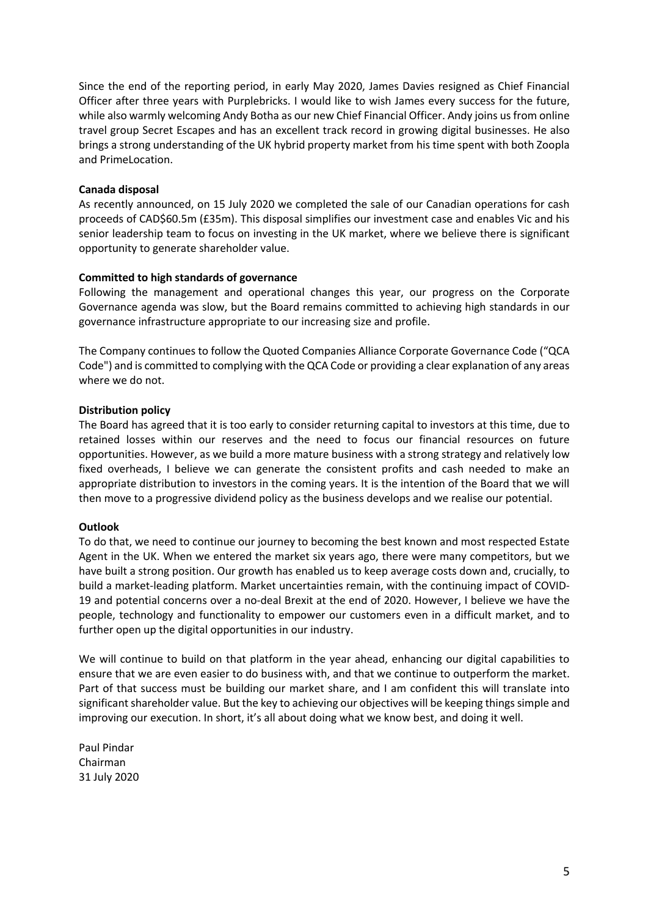Since the end of the reporting period, in early May 2020, James Davies resigned as Chief Financial Officer after three years with Purplebricks. I would like to wish James every success for the future, while also warmly welcoming Andy Botha as our new Chief Financial Officer. Andy joins us from online travel group Secret Escapes and has an excellent track record in growing digital businesses. He also brings a strong understanding of the UK hybrid property market from his time spent with both Zoopla and PrimeLocation.

## **Canada disposal**

As recently announced, on 15 July 2020 we completed the sale of our Canadian operations for cash proceeds of CAD\$60.5m (£35m). This disposal simplifies our investment case and enables Vic and his senior leadership team to focus on investing in the UK market, where we believe there is significant opportunity to generate shareholder value.

## **Committed to high standards of governance**

Following the management and operational changes this year, our progress on the Corporate Governance agenda was slow, but the Board remains committed to achieving high standards in our governance infrastructure appropriate to our increasing size and profile.

The Company continues to follow the Quoted Companies Alliance Corporate Governance Code ("QCA Code") and is committed to complying with the QCA Code or providing a clear explanation of any areas where we do not.

## **Distribution policy**

The Board has agreed that it is too early to consider returning capital to investors at this time, due to retained losses within our reserves and the need to focus our financial resources on future opportunities. However, as we build a more mature business with a strong strategy and relatively low fixed overheads, I believe we can generate the consistent profits and cash needed to make an appropriate distribution to investors in the coming years. It is the intention of the Board that we will then move to a progressive dividend policy as the business develops and we realise our potential.

### **Outlook**

To do that, we need to continue our journey to becoming the best known and most respected Estate Agent in the UK. When we entered the market six years ago, there were many competitors, but we have built a strong position. Our growth has enabled us to keep average costs down and, crucially, to build a market-leading platform. Market uncertainties remain, with the continuing impact of COVID-19 and potential concerns over a no-deal Brexit at the end of 2020. However, I believe we have the people, technology and functionality to empower our customers even in a difficult market, and to further open up the digital opportunities in our industry.

We will continue to build on that platform in the year ahead, enhancing our digital capabilities to ensure that we are even easier to do business with, and that we continue to outperform the market. Part of that success must be building our market share, and I am confident this will translate into significant shareholder value. But the key to achieving our objectives will be keeping things simple and improving our execution. In short, it's all about doing what we know best, and doing it well.

Paul Pindar Chairman 31 July 2020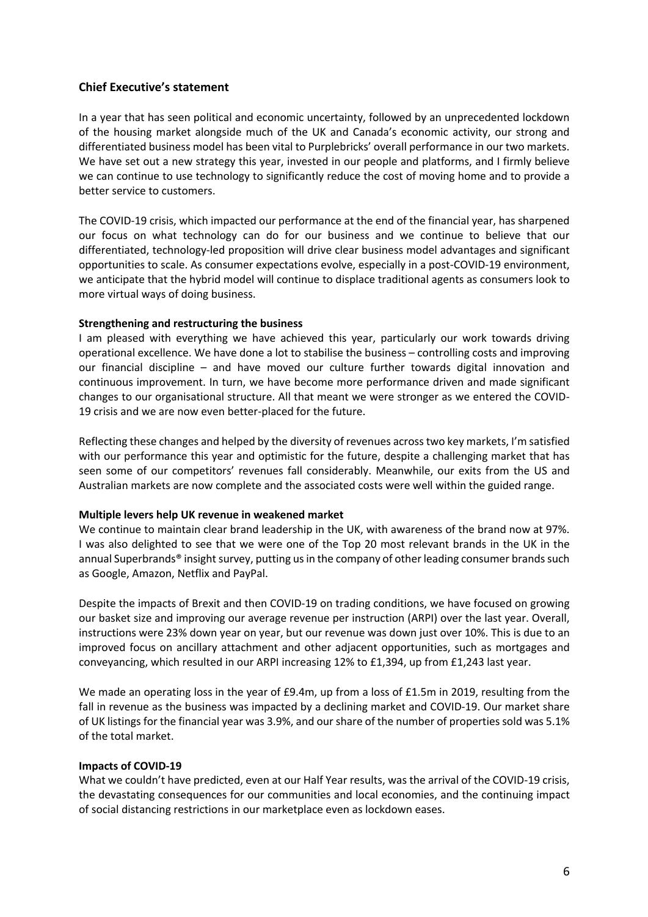# **Chief Executive's statement**

In a year that has seen political and economic uncertainty, followed by an unprecedented lockdown of the housing market alongside much of the UK and Canada's economic activity, our strong and differentiated business model has been vital to Purplebricks' overall performance in our two markets. We have set out a new strategy this year, invested in our people and platforms, and I firmly believe we can continue to use technology to significantly reduce the cost of moving home and to provide a better service to customers.

The COVID-19 crisis, which impacted our performance at the end of the financial year, has sharpened our focus on what technology can do for our business and we continue to believe that our differentiated, technology-led proposition will drive clear business model advantages and significant opportunities to scale. As consumer expectations evolve, especially in a post-COVID-19 environment, we anticipate that the hybrid model will continue to displace traditional agents as consumers look to more virtual ways of doing business.

## **Strengthening and restructuring the business**

I am pleased with everything we have achieved this year, particularly our work towards driving operational excellence. We have done a lot to stabilise the business – controlling costs and improving our financial discipline – and have moved our culture further towards digital innovation and continuous improvement. In turn, we have become more performance driven and made significant changes to our organisational structure. All that meant we were stronger as we entered the COVID-19 crisis and we are now even better-placed for the future.

Reflecting these changes and helped by the diversity of revenues across two key markets, I'm satisfied with our performance this year and optimistic for the future, despite a challenging market that has seen some of our competitors' revenues fall considerably. Meanwhile, our exits from the US and Australian markets are now complete and the associated costs were well within the guided range.

### **Multiple levers help UK revenue in weakened market**

We continue to maintain clear brand leadership in the UK, with awareness of the brand now at 97%. I was also delighted to see that we were one of the Top 20 most relevant brands in the UK in the annual Superbrands® insight survey, putting us in the company of other leading consumer brands such as Google, Amazon, Netflix and PayPal.

Despite the impacts of Brexit and then COVID-19 on trading conditions, we have focused on growing our basket size and improving our average revenue per instruction (ARPI) over the last year. Overall, instructions were 23% down year on year, but our revenue was down just over 10%. This is due to an improved focus on ancillary attachment and other adjacent opportunities, such as mortgages and conveyancing, which resulted in our ARPI increasing 12% to £1,394, up from £1,243 last year.

We made an operating loss in the year of £9.4m, up from a loss of £1.5m in 2019, resulting from the fall in revenue as the business was impacted by a declining market and COVID-19. Our market share of UK listings for the financial year was 3.9%, and our share of the number of properties sold was 5.1% of the total market.

### **Impacts of COVID-19**

What we couldn't have predicted, even at our Half Year results, was the arrival of the COVID-19 crisis, the devastating consequences for our communities and local economies, and the continuing impact of social distancing restrictions in our marketplace even as lockdown eases.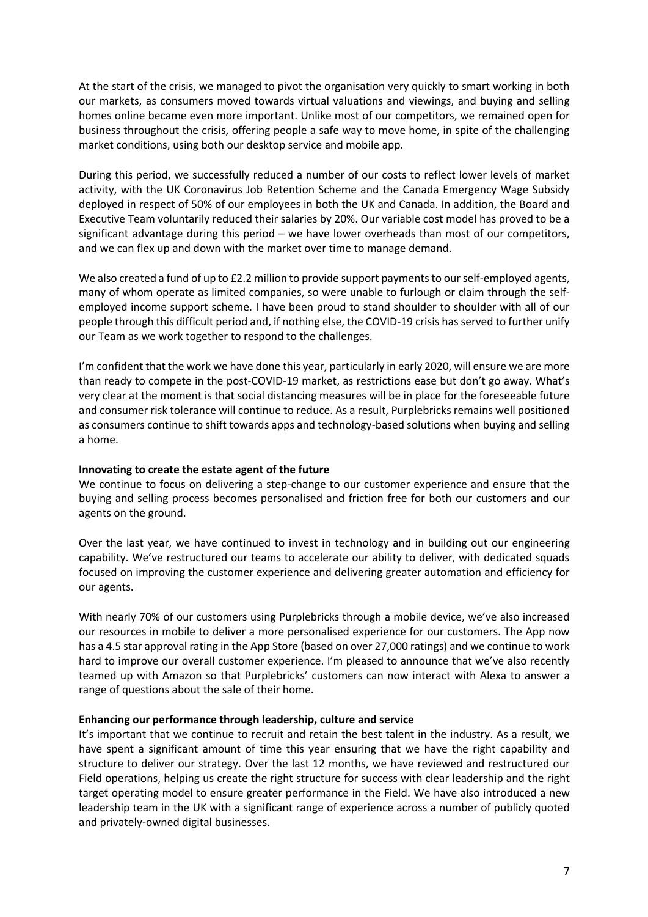At the start of the crisis, we managed to pivot the organisation very quickly to smart working in both our markets, as consumers moved towards virtual valuations and viewings, and buying and selling homes online became even more important. Unlike most of our competitors, we remained open for business throughout the crisis, offering people a safe way to move home, in spite of the challenging market conditions, using both our desktop service and mobile app.

During this period, we successfully reduced a number of our costs to reflect lower levels of market activity, with the UK Coronavirus Job Retention Scheme and the Canada Emergency Wage Subsidy deployed in respect of 50% of our employees in both the UK and Canada. In addition, the Board and Executive Team voluntarily reduced their salaries by 20%. Our variable cost model has proved to be a significant advantage during this period – we have lower overheads than most of our competitors, and we can flex up and down with the market over time to manage demand.

We also created a fund of up to £2.2 million to provide support payments to our self-employed agents, many of whom operate as limited companies, so were unable to furlough or claim through the selfemployed income support scheme. I have been proud to stand shoulder to shoulder with all of our people through this difficult period and, if nothing else, the COVID-19 crisis has served to further unify our Team as we work together to respond to the challenges.

I'm confident that the work we have done this year, particularly in early 2020, will ensure we are more than ready to compete in the post-COVID-19 market, as restrictions ease but don't go away. What's very clear at the moment is that social distancing measures will be in place for the foreseeable future and consumer risk tolerance will continue to reduce. As a result, Purplebricks remains well positioned as consumers continue to shift towards apps and technology-based solutions when buying and selling a home.

## **Innovating to create the estate agent of the future**

We continue to focus on delivering a step-change to our customer experience and ensure that the buying and selling process becomes personalised and friction free for both our customers and our agents on the ground.

Over the last year, we have continued to invest in technology and in building out our engineering capability. We've restructured our teams to accelerate our ability to deliver, with dedicated squads focused on improving the customer experience and delivering greater automation and efficiency for our agents.

With nearly 70% of our customers using Purplebricks through a mobile device, we've also increased our resources in mobile to deliver a more personalised experience for our customers. The App now has a 4.5 star approval rating in the App Store (based on over 27,000 ratings) and we continue to work hard to improve our overall customer experience. I'm pleased to announce that we've also recently teamed up with Amazon so that Purplebricks' customers can now interact with Alexa to answer a range of questions about the sale of their home.

## **Enhancing our performance through leadership, culture and service**

It's important that we continue to recruit and retain the best talent in the industry. As a result, we have spent a significant amount of time this year ensuring that we have the right capability and structure to deliver our strategy. Over the last 12 months, we have reviewed and restructured our Field operations, helping us create the right structure for success with clear leadership and the right target operating model to ensure greater performance in the Field. We have also introduced a new leadership team in the UK with a significant range of experience across a number of publicly quoted and privately-owned digital businesses.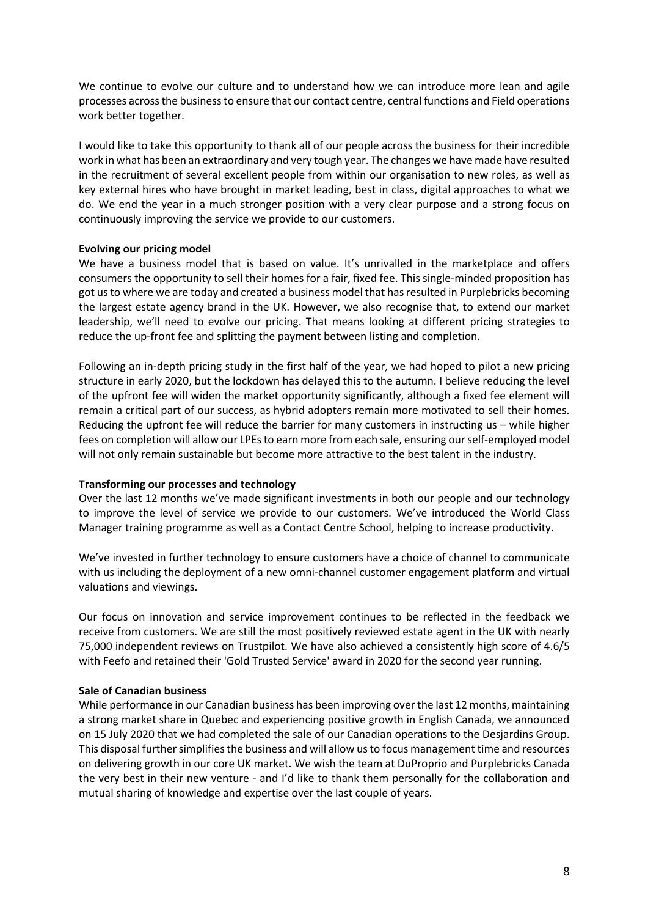We continue to evolve our culture and to understand how we can introduce more lean and agile processes across the business to ensure that our contact centre, central functions and Field operations work better together.

I would like to take this opportunity to thank all of our people across the business for their incredible work in what has been an extraordinary and very tough year. The changes we have made have resulted in the recruitment of several excellent people from within our organisation to new roles, as well as key external hires who have brought in market leading, best in class, digital approaches to what we do. We end the year in a much stronger position with a very clear purpose and a strong focus on continuously improving the service we provide to our customers.

## **Evolving our pricing model**

We have a business model that is based on value. It's unrivalled in the marketplace and offers consumers the opportunity to sell their homes for a fair, fixed fee. This single-minded proposition has got us to where we are today and created a business model that has resulted in Purplebricks becoming the largest estate agency brand in the UK. However, we also recognise that, to extend our market leadership, we'll need to evolve our pricing. That means looking at different pricing strategies to reduce the up-front fee and splitting the payment between listing and completion.

Following an in-depth pricing study in the first half of the year, we had hoped to pilot a new pricing structure in early 2020, but the lockdown has delayed this to the autumn. I believe reducing the level of the upfront fee will widen the market opportunity significantly, although a fixed fee element will remain a critical part of our success, as hybrid adopters remain more motivated to sell their homes. Reducing the upfront fee will reduce the barrier for many customers in instructing us – while higher fees on completion will allow our LPEs to earn more from each sale, ensuring our self-employed model will not only remain sustainable but become more attractive to the best talent in the industry.

## **Transforming our processes and technology**

Over the last 12 months we've made significant investments in both our people and our technology to improve the level of service we provide to our customers. We've introduced the World Class Manager training programme as well as a Contact Centre School, helping to increase productivity.

We've invested in further technology to ensure customers have a choice of channel to communicate with us including the deployment of a new omni-channel customer engagement platform and virtual valuations and viewings.

Our focus on innovation and service improvement continues to be reflected in the feedback we receive from customers. We are still the most positively reviewed estate agent in the UK with nearly 75,000 independent reviews on Trustpilot. We have also achieved a consistently high score of 4.6/5 with Feefo and retained their 'Gold Trusted Service' award in 2020 for the second year running.

## **Sale of Canadian business**

While performance in our Canadian business has been improving over the last 12 months, maintaining a strong market share in Quebec and experiencing positive growth in English Canada, we announced on 15 July 2020 that we had completed the sale of our Canadian operations to the Desjardins Group. This disposal further simplifies the business and will allow us to focus management time and resources on delivering growth in our core UK market. We wish the team at DuProprio and Purplebricks Canada the very best in their new venture - and I'd like to thank them personally for the collaboration and mutual sharing of knowledge and expertise over the last couple of years.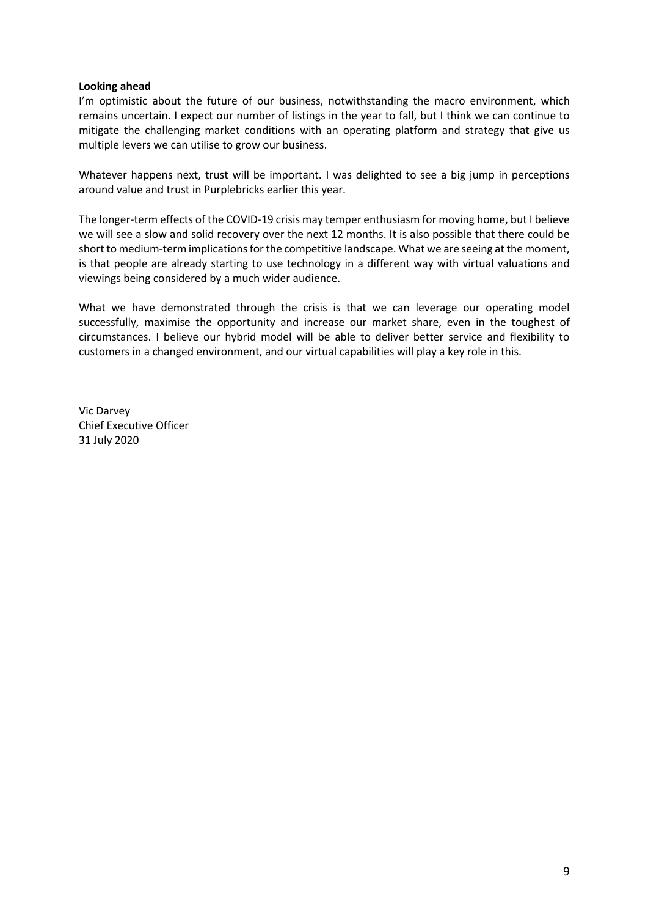## **Looking ahead**

I'm optimistic about the future of our business, notwithstanding the macro environment, which remains uncertain. I expect our number of listings in the year to fall, but I think we can continue to mitigate the challenging market conditions with an operating platform and strategy that give us multiple levers we can utilise to grow our business.

Whatever happens next, trust will be important. I was delighted to see a big jump in perceptions around value and trust in Purplebricks earlier this year.

The longer-term effects of the COVID-19 crisis may temper enthusiasm for moving home, but I believe we will see a slow and solid recovery over the next 12 months. It is also possible that there could be short to medium-term implications for the competitive landscape. What we are seeing at the moment, is that people are already starting to use technology in a different way with virtual valuations and viewings being considered by a much wider audience.

What we have demonstrated through the crisis is that we can leverage our operating model successfully, maximise the opportunity and increase our market share, even in the toughest of circumstances. I believe our hybrid model will be able to deliver better service and flexibility to customers in a changed environment, and our virtual capabilities will play a key role in this.

Vic Darvey Chief Executive Officer 31 July 2020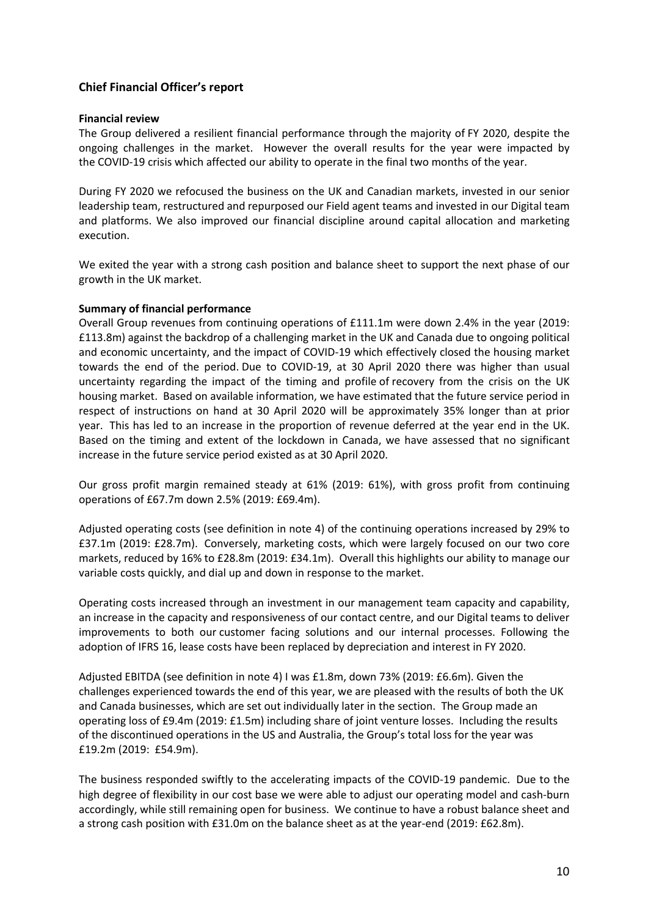# **Chief Financial Officer's report**

## **Financial review**

The Group delivered a resilient financial performance through the majority of FY 2020, despite the ongoing challenges in the market. However the overall results for the year were impacted by the COVID-19 crisis which affected our ability to operate in the final two months of the year.

During FY 2020 we refocused the business on the UK and Canadian markets, invested in our senior leadership team, restructured and repurposed our Field agent teams and invested in our Digital team and platforms. We also improved our financial discipline around capital allocation and marketing execution.

We exited the year with a strong cash position and balance sheet to support the next phase of our growth in the UK market.

## **Summary of financial performance**

Overall Group revenues from continuing operations of £111.1m were down 2.4% in the year (2019: £113.8m) against the backdrop of a challenging market in the UK and Canada due to ongoing political and economic uncertainty, and the impact of COVID-19 which effectively closed the housing market towards the end of the period. Due to COVID-19, at 30 April 2020 there was higher than usual uncertainty regarding the impact of the timing and profile of recovery from the crisis on the UK housing market. Based on available information, we have estimated that the future service period in respect of instructions on hand at 30 April 2020 will be approximately 35% longer than at prior year. This has led to an increase in the proportion of revenue deferred at the year end in the UK. Based on the timing and extent of the lockdown in Canada, we have assessed that no significant increase in the future service period existed as at 30 April 2020.

Our gross profit margin remained steady at 61% (2019: 61%), with gross profit from continuing operations of £67.7m down 2.5% (2019: £69.4m).

Adjusted operating costs (see definition in note 4) of the continuing operations increased by 29% to £37.1m (2019: £28.7m). Conversely, marketing costs, which were largely focused on our two core markets, reduced by 16% to £28.8m (2019: £34.1m). Overall this highlights our ability to manage our variable costs quickly, and dial up and down in response to the market.

Operating costs increased through an investment in our management team capacity and capability, an increase in the capacity and responsiveness of our contact centre, and our Digital teams to deliver improvements to both our customer facing solutions and our internal processes. Following the adoption of IFRS 16, lease costs have been replaced by depreciation and interest in FY 2020.

Adjusted EBITDA (see definition in note 4) I was £1.8m, down 73% (2019: £6.6m). Given the challenges experienced towards the end of this year, we are pleased with the results of both the UK and Canada businesses, which are set out individually later in the section. The Group made an operating loss of £9.4m (2019: £1.5m) including share of joint venture losses. Including the results of the discontinued operations in the US and Australia, the Group's total loss for the year was £19.2m (2019: £54.9m).

The business responded swiftly to the accelerating impacts of the COVID-19 pandemic. Due to the high degree of flexibility in our cost base we were able to adjust our operating model and cash-burn accordingly, while still remaining open for business. We continue to have a robust balance sheet and a strong cash position with £31.0m on the balance sheet as at the year-end (2019: £62.8m).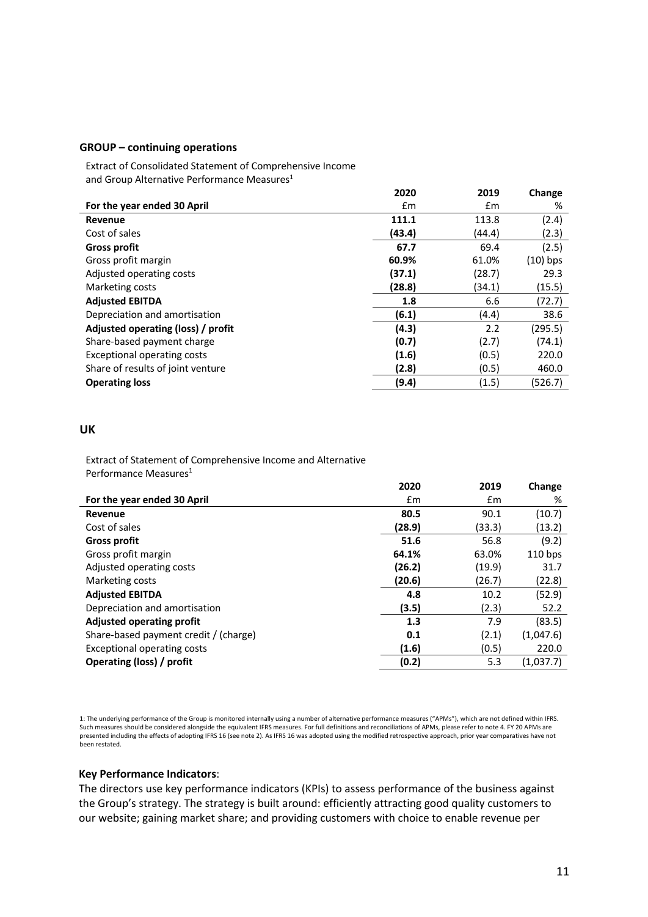#### **GROUP – continuing operations**

Extract of Consolidated Statement of Comprehensive Income and Group Alternative Performance Measures<sup>1</sup>

|                                    | 2020   | 2019   | Change     |
|------------------------------------|--------|--------|------------|
| For the year ended 30 April        | £m     | Em     | %          |
| Revenue                            | 111.1  | 113.8  | (2.4)      |
| Cost of sales                      | (43.4) | (44.4) | (2.3)      |
| <b>Gross profit</b>                | 67.7   | 69.4   | (2.5)      |
| Gross profit margin                | 60.9%  | 61.0%  | $(10)$ bps |
| Adjusted operating costs           | (37.1) | (28.7) | 29.3       |
| Marketing costs                    | (28.8) | (34.1) | (15.5)     |
| <b>Adjusted EBITDA</b>             | 1.8    | 6.6    | (72.7)     |
| Depreciation and amortisation      | (6.1)  | (4.4)  | 38.6       |
| Adjusted operating (loss) / profit | (4.3)  | 2.2    | (295.5)    |
| Share-based payment charge         | (0.7)  | (2.7)  | (74.1)     |
| <b>Exceptional operating costs</b> | (1.6)  | (0.5)  | 220.0      |
| Share of results of joint venture  | (2.8)  | (0.5)  | 460.0      |
| <b>Operating loss</b>              | (9.4)  | (1.5)  | (526.7)    |

# **UK**

Extract of Statement of Comprehensive Income and Alternative Performance Measures<sup>1</sup>

|                                       | 2020   | 2019          | Change    |
|---------------------------------------|--------|---------------|-----------|
| For the year ended 30 April           | £m     | $\mathsf{fm}$ | %         |
| Revenue                               | 80.5   | 90.1          | (10.7)    |
| Cost of sales                         | (28.9) | (33.3)        | (13.2)    |
| <b>Gross profit</b>                   | 51.6   | 56.8          | (9.2)     |
| Gross profit margin                   | 64.1%  | 63.0%         | $110$ bps |
| Adjusted operating costs              | (26.2) | (19.9)        | 31.7      |
| Marketing costs                       | (20.6) | (26.7)        | (22.8)    |
| <b>Adjusted EBITDA</b>                | 4.8    | 10.2          | (52.9)    |
| Depreciation and amortisation         | (3.5)  | (2.3)         | 52.2      |
| <b>Adjusted operating profit</b>      | 1.3    | 7.9           | (83.5)    |
| Share-based payment credit / (charge) | 0.1    | (2.1)         | (1,047.6) |
| <b>Exceptional operating costs</b>    | (1.6)  | (0.5)         | 220.0     |
| Operating (loss) / profit             | (0.2)  | 5.3           | (1,037.7) |

1: The underlying performance of the Group is monitored internally using a number of alternative performance measures ("APMs"), which are not defined within IFRS. Such measures should be considered alongside the equivalent IFRS measures. For full definitions and reconciliations of APMs, please refer to note 4. FY 20 APMs are presented including the effects of adopting IFRS 16 (see note 2). As IFRS 16 was adopted using the modified retrospective approach, prior year comparatives have not been restated.

### **Key Performance Indicators**:

The directors use key performance indicators (KPIs) to assess performance of the business against the Group's strategy. The strategy is built around: efficiently attracting good quality customers to our website; gaining market share; and providing customers with choice to enable revenue per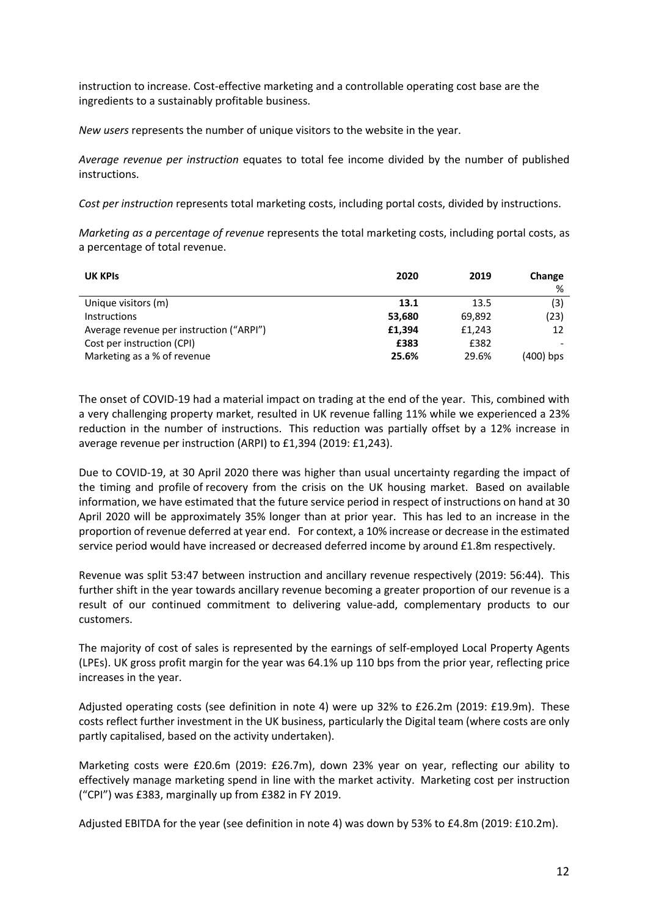instruction to increase. Cost-effective marketing and a controllable operating cost base are the ingredients to a sustainably profitable business.

*New users* represents the number of unique visitors to the website in the year.

*Average revenue per instruction* equates to total fee income divided by the number of published instructions.

*Cost per instruction* represents total marketing costs, including portal costs, divided by instructions.

*Marketing as a percentage of revenue* represents the total marketing costs, including portal costs, as a percentage of total revenue.

| <b>UK KPIS</b>                           | 2020   | 2019   | Change    |
|------------------------------------------|--------|--------|-----------|
|                                          |        |        | %         |
| Unique visitors (m)                      | 13.1   | 13.5   | (3)       |
| <b>Instructions</b>                      | 53,680 | 69,892 | (23)      |
| Average revenue per instruction ("ARPI") | £1.394 | £1,243 | 12        |
| Cost per instruction (CPI)               | £383   | £382   |           |
| Marketing as a % of revenue              | 25.6%  | 29.6%  | (400) bps |

The onset of COVID-19 had a material impact on trading at the end of the year. This, combined with a very challenging property market, resulted in UK revenue falling 11% while we experienced a 23% reduction in the number of instructions. This reduction was partially offset by a 12% increase in average revenue per instruction (ARPI) to £1,394 (2019: £1,243).

Due to COVID-19, at 30 April 2020 there was higher than usual uncertainty regarding the impact of the timing and profile of recovery from the crisis on the UK housing market. Based on available information, we have estimated that the future service period in respect of instructions on hand at 30 April 2020 will be approximately 35% longer than at prior year. This has led to an increase in the proportion of revenue deferred at year end. For context, a 10% increase or decrease in the estimated service period would have increased or decreased deferred income by around £1.8m respectively.

Revenue was split 53:47 between instruction and ancillary revenue respectively (2019: 56:44). This further shift in the year towards ancillary revenue becoming a greater proportion of our revenue is a result of our continued commitment to delivering value-add, complementary products to our customers.

The majority of cost of sales is represented by the earnings of self-employed Local Property Agents (LPEs). UK gross profit margin for the year was 64.1% up 110 bps from the prior year, reflecting price increases in the year.

Adjusted operating costs (see definition in note 4) were up 32% to £26.2m (2019: £19.9m). These costs reflect further investment in the UK business, particularly the Digital team (where costs are only partly capitalised, based on the activity undertaken).

Marketing costs were £20.6m (2019: £26.7m), down 23% year on year, reflecting our ability to effectively manage marketing spend in line with the market activity. Marketing cost per instruction ("CPI") was £383, marginally up from £382 in FY 2019.

Adjusted EBITDA for the year (see definition in note 4) was down by 53% to £4.8m (2019: £10.2m).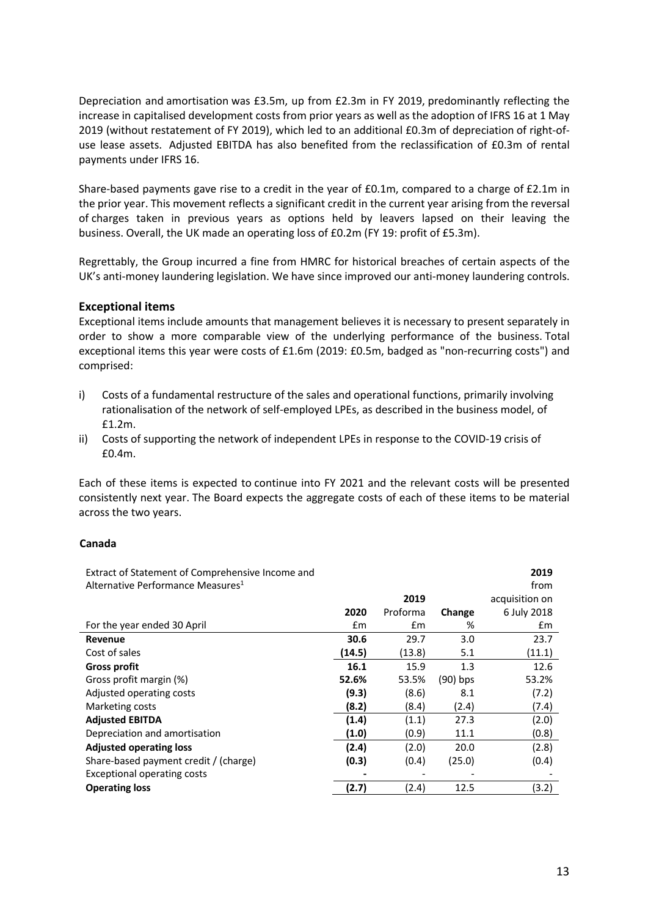Depreciation and amortisation was £3.5m, up from £2.3m in FY 2019, predominantly reflecting the increase in capitalised development costs from prior years as well as the adoption of IFRS 16 at 1 May 2019 (without restatement of FY 2019), which led to an additional £0.3m of depreciation of right-ofuse lease assets. Adjusted EBITDA has also benefited from the reclassification of £0.3m of rental payments under IFRS 16.

Share-based payments gave rise to a credit in the year of £0.1m, compared to a charge of £2.1m in the prior year. This movement reflects a significant credit in the current year arising from the reversal of charges taken in previous years as options held by leavers lapsed on their leaving the business. Overall, the UK made an operating loss of £0.2m (FY 19: profit of £5.3m).

Regrettably, the Group incurred a fine from HMRC for historical breaches of certain aspects of the UK's anti-money laundering legislation. We have since improved our anti-money laundering controls.

# **Exceptional items**

Exceptional items include amounts that management believes it is necessary to present separately in order to show a more comparable view of the underlying performance of the business. Total exceptional items this year were costs of £1.6m (2019: £0.5m, badged as "non-recurring costs") and comprised:

- i) Costs of a fundamental restructure of the sales and operational functions, primarily involving rationalisation of the network of self-employed LPEs, as described in the business model, of £1.2m.
- ii) Costs of supporting the network of independent LPEs in response to the COVID-19 crisis of £0.4m.

Each of these items is expected to continue into FY 2021 and the relevant costs will be presented consistently next year. The Board expects the aggregate costs of each of these items to be material across the two years.

## **Canada**

| Extract of Statement of Comprehensive Income and |        |          |            | 2019           |
|--------------------------------------------------|--------|----------|------------|----------------|
| Alternative Performance Measures <sup>1</sup>    |        |          |            | from           |
|                                                  |        | 2019     |            | acquisition on |
|                                                  | 2020   | Proforma | Change     | 6 July 2018    |
| For the year ended 30 April                      | £m     | £m       | %          | £m             |
| Revenue                                          | 30.6   | 29.7     | 3.0        | 23.7           |
| Cost of sales                                    | (14.5) | (13.8)   | 5.1        | (11.1)         |
| <b>Gross profit</b>                              | 16.1   | 15.9     | 1.3        | 12.6           |
| Gross profit margin (%)                          | 52.6%  | 53.5%    | $(90)$ bps | 53.2%          |
| Adjusted operating costs                         | (9.3)  | (8.6)    | 8.1        | (7.2)          |
| Marketing costs                                  | (8.2)  | (8.4)    | (2.4)      | (7.4)          |
| <b>Adjusted EBITDA</b>                           | (1.4)  | (1.1)    | 27.3       | (2.0)          |
| Depreciation and amortisation                    | (1.0)  | (0.9)    | 11.1       | (0.8)          |
| <b>Adjusted operating loss</b>                   | (2.4)  | (2.0)    | 20.0       | (2.8)          |
| Share-based payment credit / (charge)            | (0.3)  | (0.4)    | (25.0)     | (0.4)          |
| <b>Exceptional operating costs</b>               |        |          |            |                |
| <b>Operating loss</b>                            | (2.7)  | (2.4)    | 12.5       | (3.2)          |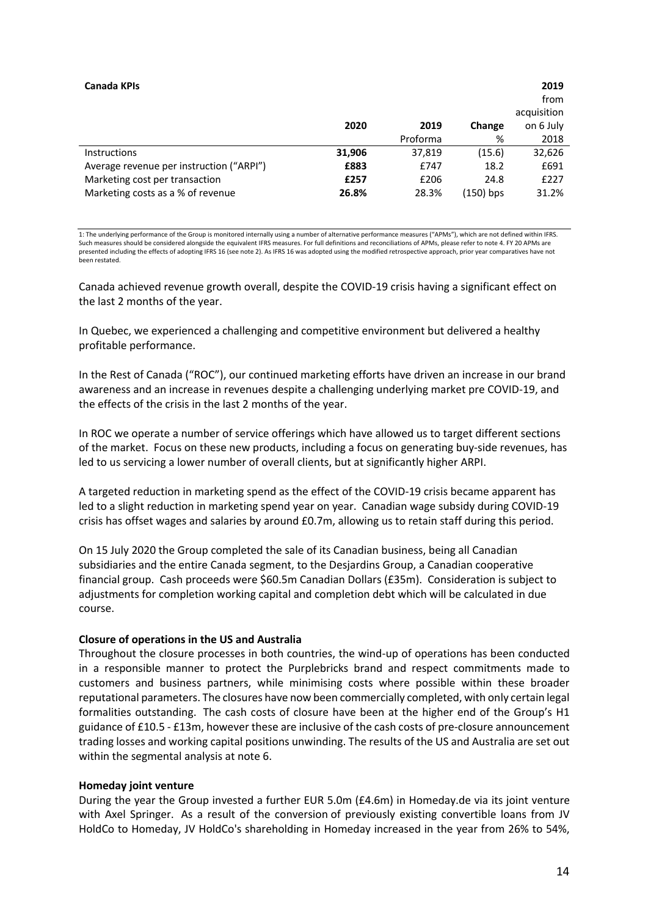| Canada KPIs                              |        |          |           | 2019<br>from<br>acquisition |
|------------------------------------------|--------|----------|-----------|-----------------------------|
|                                          | 2020   | 2019     | Change    | on 6 July                   |
|                                          |        | Proforma | %         | 2018                        |
| <b>Instructions</b>                      | 31,906 | 37,819   | (15.6)    | 32,626                      |
| Average revenue per instruction ("ARPI") | £883   | £747     | 18.2      | £691                        |
| Marketing cost per transaction           | £257   | £206     | 24.8      | £227                        |
| Marketing costs as a % of revenue        | 26.8%  | 28.3%    | (150) bps | 31.2%                       |

1: The underlying performance of the Group is monitored internally using a number of alternative performance measures ("APMs"), which are not defined within IFRS. Such measures should be considered alongside the equivalent IFRS measures. For full definitions and reconciliations of APMs, please refer to note 4. FY 20 APMs are presented including the effects of adopting IFRS 16 (see note 2). As IFRS 16 was adopted using the modified retrospective approach, prior year comparatives have not been restated.

Canada achieved revenue growth overall, despite the COVID-19 crisis having a significant effect on the last 2 months of the year.

In Quebec, we experienced a challenging and competitive environment but delivered a healthy profitable performance.

In the Rest of Canada ("ROC"), our continued marketing efforts have driven an increase in our brand awareness and an increase in revenues despite a challenging underlying market pre COVID-19, and the effects of the crisis in the last 2 months of the year.

In ROC we operate a number of service offerings which have allowed us to target different sections of the market. Focus on these new products, including a focus on generating buy-side revenues, has led to us servicing a lower number of overall clients, but at significantly higher ARPI.

A targeted reduction in marketing spend as the effect of the COVID-19 crisis became apparent has led to a slight reduction in marketing spend year on year. Canadian wage subsidy during COVID-19 crisis has offset wages and salaries by around £0.7m, allowing us to retain staff during this period.

On 15 July 2020 the Group completed the sale of its Canadian business, being all Canadian subsidiaries and the entire Canada segment, to the Desjardins Group, a Canadian cooperative financial group. Cash proceeds were \$60.5m Canadian Dollars (£35m). Consideration is subject to adjustments for completion working capital and completion debt which will be calculated in due course.

### **Closure of operations in the US and Australia**

Throughout the closure processes in both countries, the wind-up of operations has been conducted in a responsible manner to protect the Purplebricks brand and respect commitments made to customers and business partners, while minimising costs where possible within these broader reputational parameters. The closures have now been commercially completed, with only certain legal formalities outstanding. The cash costs of closure have been at the higher end of the Group's H1 guidance of £10.5 - £13m, however these are inclusive of the cash costs of pre-closure announcement trading losses and working capital positions unwinding. The results of the US and Australia are set out within the segmental analysis at note 6.

### **Homeday joint venture**

During the year the Group invested a further EUR 5.0m (£4.6m) in Homeday.de via its joint venture with Axel Springer. As a result of the conversion of previously existing convertible loans from JV HoldCo to Homeday, JV HoldCo's shareholding in Homeday increased in the year from 26% to 54%,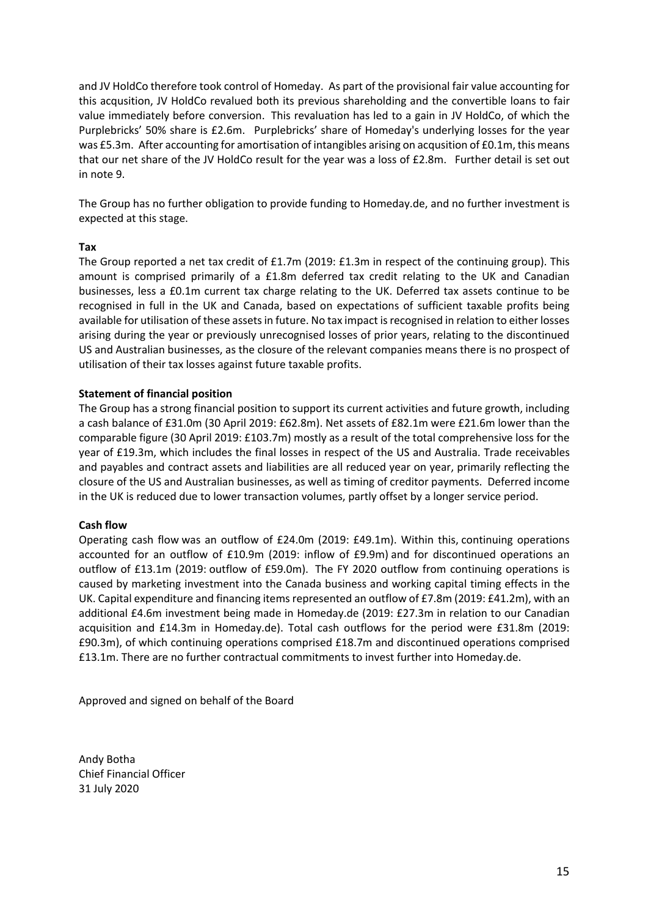and JV HoldCo therefore took control of Homeday. As part of the provisional fair value accounting for this acqusition, JV HoldCo revalued both its previous shareholding and the convertible loans to fair value immediately before conversion. This revaluation has led to a gain in JV HoldCo, of which the Purplebricks' 50% share is £2.6m. Purplebricks' share of Homeday's underlying losses for the year was £5.3m. After accounting for amortisation of intangibles arising on acqusition of £0.1m, this means that our net share of the JV HoldCo result for the year was a loss of £2.8m. Further detail is set out in note 9.

The Group has no further obligation to provide funding to Homeday.de, and no further investment is expected at this stage.

## **Tax**

The Group reported a net tax credit of £1.7m (2019: £1.3m in respect of the continuing group). This amount is comprised primarily of a £1.8m deferred tax credit relating to the UK and Canadian businesses, less a £0.1m current tax charge relating to the UK. Deferred tax assets continue to be recognised in full in the UK and Canada, based on expectations of sufficient taxable profits being available for utilisation of these assets in future. No tax impact is recognised in relation to either losses arising during the year or previously unrecognised losses of prior years, relating to the discontinued US and Australian businesses, as the closure of the relevant companies means there is no prospect of utilisation of their tax losses against future taxable profits.

## **Statement of financial position**

The Group has a strong financial position to support its current activities and future growth, including a cash balance of £31.0m (30 April 2019: £62.8m). Net assets of £82.1m were £21.6m lower than the comparable figure (30 April 2019: £103.7m) mostly as a result of the total comprehensive loss for the year of £19.3m, which includes the final losses in respect of the US and Australia. Trade receivables and payables and contract assets and liabilities are all reduced year on year, primarily reflecting the closure of the US and Australian businesses, as well as timing of creditor payments. Deferred income in the UK is reduced due to lower transaction volumes, partly offset by a longer service period.

### **Cash flow**

Operating cash flow was an outflow of £24.0m (2019: £49.1m). Within this, continuing operations accounted for an outflow of £10.9m (2019: inflow of £9.9m) and for discontinued operations an outflow of £13.1m (2019: outflow of £59.0m). The FY 2020 outflow from continuing operations is caused by marketing investment into the Canada business and working capital timing effects in the UK. Capital expenditure and financing items represented an outflow of £7.8m (2019: £41.2m), with an additional £4.6m investment being made in Homeday.de (2019: £27.3m in relation to our Canadian acquisition and £14.3m in Homeday.de). Total cash outflows for the period were £31.8m (2019: £90.3m), of which continuing operations comprised £18.7m and discontinued operations comprised £13.1m. There are no further contractual commitments to invest further into Homeday.de.

Approved and signed on behalf of the Board

Andy Botha Chief Financial Officer 31 July 2020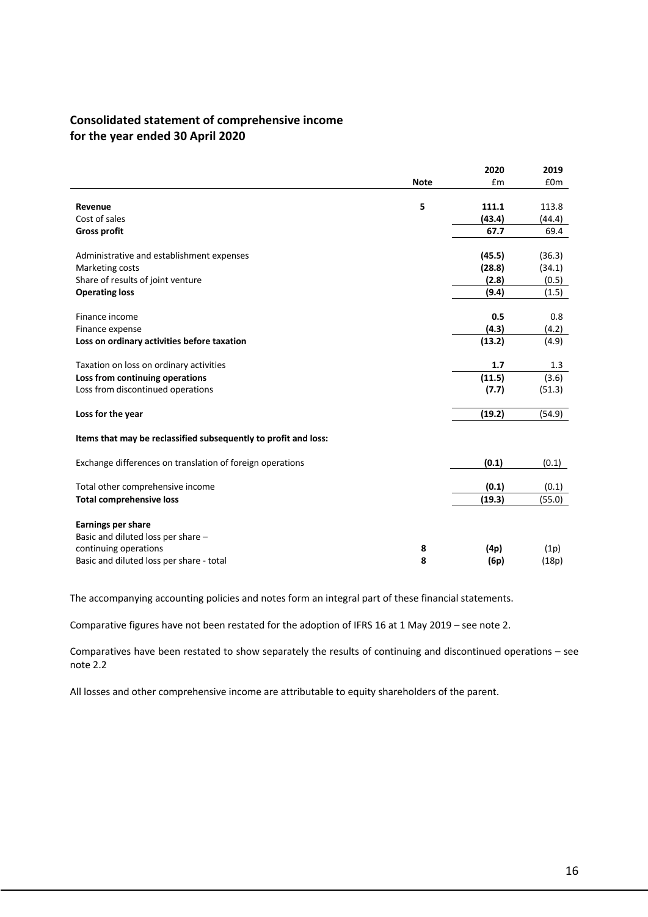# **Consolidated statement of comprehensive income for the year ended 30 April 2020**

|                                                                 |             | 2020   | 2019            |
|-----------------------------------------------------------------|-------------|--------|-----------------|
|                                                                 | <b>Note</b> | £m     | £0 <sub>m</sub> |
|                                                                 |             |        |                 |
| Revenue                                                         | 5           | 111.1  | 113.8           |
| Cost of sales                                                   |             | (43.4) | (44.4)          |
| <b>Gross profit</b>                                             |             | 67.7   | 69.4            |
| Administrative and establishment expenses                       |             | (45.5) | (36.3)          |
|                                                                 |             |        |                 |
| Marketing costs                                                 |             | (28.8) | (34.1)          |
| Share of results of joint venture                               |             | (2.8)  | (0.5)           |
| <b>Operating loss</b>                                           |             | (9.4)  | (1.5)           |
| Finance income                                                  |             | 0.5    | 0.8             |
| Finance expense                                                 |             | (4.3)  | (4.2)           |
| Loss on ordinary activities before taxation                     |             | (13.2) | (4.9)           |
|                                                                 |             |        |                 |
| Taxation on loss on ordinary activities                         |             | 1.7    | 1.3             |
| Loss from continuing operations                                 |             | (11.5) | (3.6)           |
| Loss from discontinued operations                               |             | (7.7)  | (51.3)          |
| Loss for the year                                               |             | (19.2) | (54.9)          |
|                                                                 |             |        |                 |
| Items that may be reclassified subsequently to profit and loss: |             |        |                 |
| Exchange differences on translation of foreign operations       |             | (0.1)  | (0.1)           |
|                                                                 |             |        |                 |
| Total other comprehensive income                                |             | (0.1)  | (0.1)           |
| <b>Total comprehensive loss</b>                                 |             | (19.3) | (55.0)          |
| <b>Earnings per share</b>                                       |             |        |                 |
|                                                                 |             |        |                 |
| Basic and diluted loss per share -                              |             |        |                 |
| continuing operations                                           | 8           | (4p)   | (1p)            |
| Basic and diluted loss per share - total                        | 8           | (6p)   | (18p)           |

The accompanying accounting policies and notes form an integral part of these financial statements.

Comparative figures have not been restated for the adoption of IFRS 16 at 1 May 2019 – see note 2.

Comparatives have been restated to show separately the results of continuing and discontinued operations – see note 2.2

All losses and other comprehensive income are attributable to equity shareholders of the parent.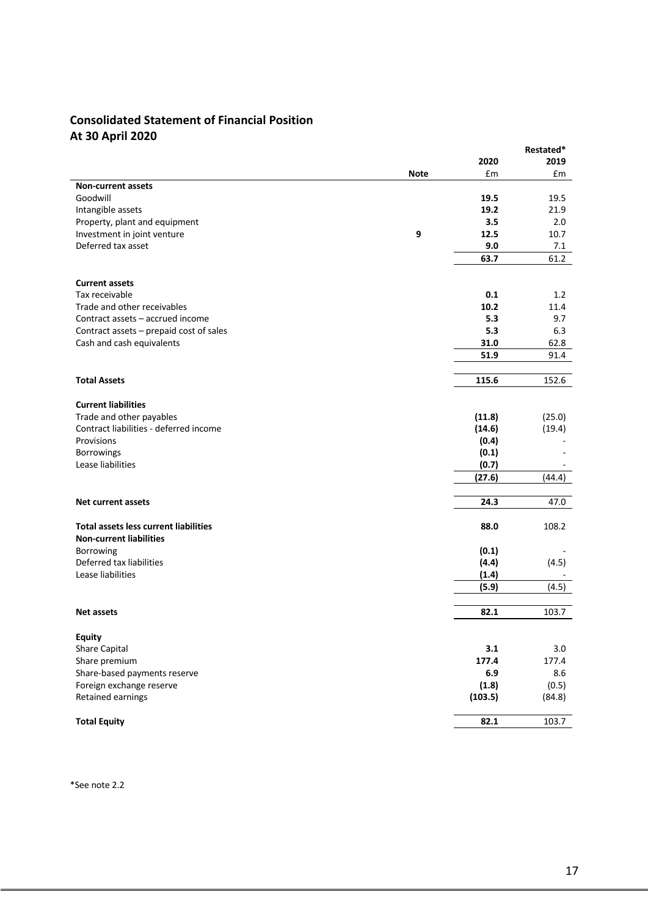# **Consolidated Statement of Financial Position At 30 April 2020**

|                                                                    |         | Restated* |
|--------------------------------------------------------------------|---------|-----------|
|                                                                    | 2020    | 2019      |
| <b>Note</b>                                                        | £m      | £m        |
| <b>Non-current assets</b>                                          |         |           |
| Goodwill                                                           | 19.5    | 19.5      |
| Intangible assets                                                  | 19.2    | 21.9      |
| Property, plant and equipment                                      | 3.5     | 2.0       |
| 9<br>Investment in joint venture                                   | 12.5    | 10.7      |
| Deferred tax asset                                                 | 9.0     | 7.1       |
|                                                                    | 63.7    | 61.2      |
|                                                                    |         |           |
| <b>Current assets</b>                                              |         |           |
| Tax receivable                                                     | 0.1     | 1.2       |
| Trade and other receivables                                        | 10.2    | 11.4      |
| Contract assets - accrued income                                   | 5.3     | 9.7       |
| Contract assets - prepaid cost of sales                            | 5.3     | 6.3       |
| Cash and cash equivalents                                          | 31.0    | 62.8      |
|                                                                    | 51.9    | 91.4      |
|                                                                    |         |           |
| <b>Total Assets</b>                                                | 115.6   | 152.6     |
| <b>Current liabilities</b>                                         |         |           |
|                                                                    |         |           |
| Trade and other payables<br>Contract liabilities - deferred income | (11.8)  | (25.0)    |
|                                                                    | (14.6)  | (19.4)    |
| Provisions                                                         | (0.4)   |           |
| <b>Borrowings</b>                                                  | (0.1)   |           |
| Lease liabilities                                                  | (0.7)   |           |
|                                                                    | (27.6)  | (44.4)    |
| <b>Net current assets</b>                                          | 24.3    | 47.0      |
|                                                                    |         |           |
| <b>Total assets less current liabilities</b>                       | 88.0    | 108.2     |
| <b>Non-current liabilities</b>                                     |         |           |
| Borrowing                                                          | (0.1)   |           |
| Deferred tax liabilities                                           | (4.4)   | (4.5)     |
| Lease liabilities                                                  | (1.4)   |           |
|                                                                    | (5.9)   | (4.5)     |
|                                                                    |         |           |
| <b>Net assets</b>                                                  | 82.1    | 103.7     |
| Equity                                                             |         |           |
| Share Capital                                                      | 3.1     | 3.0       |
|                                                                    | 177.4   | 177.4     |
| Share premium                                                      | 6.9     |           |
| Share-based payments reserve                                       |         | 8.6       |
| Foreign exchange reserve                                           | (1.8)   | (0.5)     |
| Retained earnings                                                  | (103.5) | (84.8)    |
| <b>Total Equity</b>                                                | 82.1    | 103.7     |

\*See note 2.2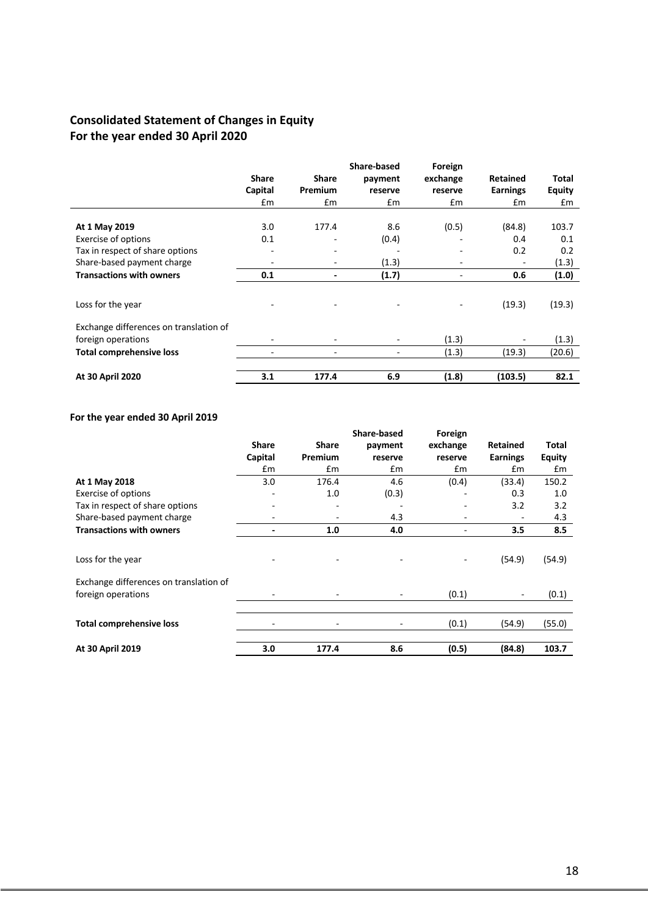# **Consolidated Statement of Changes in Equity For the year ended 30 April 2020**

|                                        |              |                              | Share-based | Foreign  |                 |               |
|----------------------------------------|--------------|------------------------------|-------------|----------|-----------------|---------------|
|                                        | <b>Share</b> | <b>Share</b>                 | payment     | exchange | <b>Retained</b> | Total         |
|                                        | Capital      | Premium                      | reserve     | reserve  | <b>Earnings</b> | <b>Equity</b> |
|                                        | Em           | Em                           | £m          | £m       | $\mathsf{fm}$   | £m            |
|                                        |              |                              |             |          |                 |               |
| At 1 May 2019                          | 3.0          | 177.4                        | 8.6         | (0.5)    | (84.8)          | 103.7         |
| Exercise of options                    | 0.1          | $\overline{\phantom{0}}$     | (0.4)       | ٠        | 0.4             | 0.1           |
| Tax in respect of share options        | ۰            | ٠                            | -           | ۰        | 0.2             | 0.2           |
| Share-based payment charge             |              | ۰                            | (1.3)       | ٠        |                 | (1.3)         |
| <b>Transactions with owners</b>        | 0.1          | $\qquad \qquad \blacksquare$ | (1.7)       | ۰        | 0.6             | (1.0)         |
|                                        |              |                              |             |          |                 |               |
| Loss for the year                      |              |                              |             | ۰        | (19.3)          | (19.3)        |
|                                        |              |                              |             |          |                 |               |
| Exchange differences on translation of |              |                              |             |          |                 |               |
| foreign operations                     |              |                              |             | (1.3)    |                 | (1.3)         |
| <b>Total comprehensive loss</b>        |              |                              |             | (1.3)    | (19.3)          | (20.6)        |
|                                        |              |                              |             |          |                 |               |
| At 30 April 2020                       | 3.1          | 177.4                        | 6.9         | (1.8)    | (103.5)         | 82.1          |

# **For the year ended 30 April 2019**

|                                        |               |                              | <b>Share-based</b>       | Foreign  |                 |        |
|----------------------------------------|---------------|------------------------------|--------------------------|----------|-----------------|--------|
|                                        | <b>Share</b>  | Share                        | payment                  | exchange | Retained        | Total  |
|                                        | Capital       | Premium                      | reserve                  | reserve  | <b>Earnings</b> | Equity |
|                                        | $\mathsf{fm}$ | £m                           | £m                       | £m       | Em              | Em     |
| At 1 May 2018                          | 3.0           | 176.4                        | 4.6                      | (0.4)    | (33.4)          | 150.2  |
| <b>Exercise of options</b>             |               | 1.0                          | (0.3)                    |          | 0.3             | 1.0    |
| Tax in respect of share options        |               | -                            |                          |          | 3.2             | 3.2    |
| Share-based payment charge             |               |                              | 4.3                      |          |                 | 4.3    |
| <b>Transactions with owners</b>        |               | 1.0                          | 4.0                      | ٠        | 3.5             | 8.5    |
|                                        |               |                              |                          |          |                 |        |
| Loss for the year                      |               | $\qquad \qquad \blacksquare$ |                          |          | (54.9)          | (54.9) |
| Exchange differences on translation of |               |                              |                          |          |                 |        |
| foreign operations                     |               | ۰                            | $\overline{\phantom{a}}$ | (0.1)    |                 | (0.1)  |
|                                        |               |                              |                          |          |                 |        |
| <b>Total comprehensive loss</b>        |               | ۰                            |                          | (0.1)    | (54.9)          | (55.0) |
|                                        |               |                              |                          |          |                 |        |
| At 30 April 2019                       | 3.0           | 177.4                        | 8.6                      | (0.5)    | (84.8)          | 103.7  |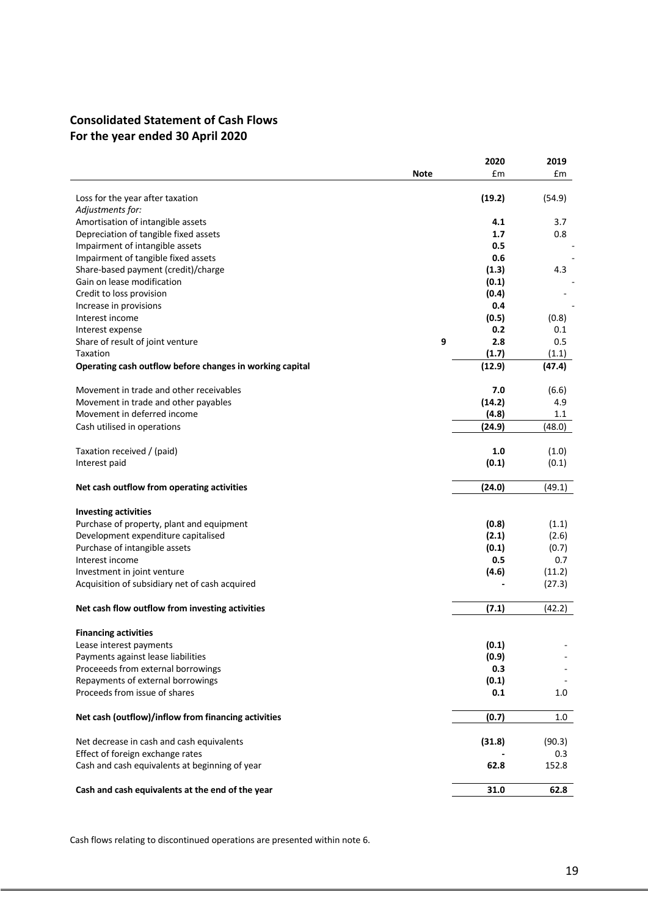# **Consolidated Statement of Cash Flows For the year ended 30 April 2020**

|                                                          |             | 2020         | 2019         |
|----------------------------------------------------------|-------------|--------------|--------------|
|                                                          | <b>Note</b> | £m           | £m           |
|                                                          |             |              |              |
| Loss for the year after taxation                         |             | (19.2)       | (54.9)       |
| Adjustments for:<br>Amortisation of intangible assets    |             | 4.1          | 3.7          |
| Depreciation of tangible fixed assets                    |             | 1.7          | 0.8          |
| Impairment of intangible assets                          |             | 0.5          |              |
| Impairment of tangible fixed assets                      |             | 0.6          |              |
| Share-based payment (credit)/charge                      |             | (1.3)        | 4.3          |
| Gain on lease modification                               |             | (0.1)        |              |
| Credit to loss provision                                 |             | (0.4)        |              |
| Increase in provisions                                   |             | 0.4          |              |
| Interest income                                          |             | (0.5)        | (0.8)        |
| Interest expense                                         |             | 0.2          | 0.1          |
| Share of result of joint venture                         | 9           | 2.8          | 0.5          |
| Taxation                                                 |             | (1.7)        | (1.1)        |
| Operating cash outflow before changes in working capital |             | (12.9)       | (47.4)       |
| Movement in trade and other receivables                  |             | 7.0          | (6.6)        |
| Movement in trade and other payables                     |             | (14.2)       | 4.9          |
| Movement in deferred income                              |             | (4.8)        | $1.1\,$      |
| Cash utilised in operations                              |             | (24.9)       | (48.0)       |
|                                                          |             |              |              |
| Taxation received / (paid)                               |             | 1.0          | (1.0)        |
| Interest paid                                            |             | (0.1)        | (0.1)        |
| Net cash outflow from operating activities               |             | (24.0)       | (49.1)       |
|                                                          |             |              |              |
| <b>Investing activities</b>                              |             |              |              |
| Purchase of property, plant and equipment                |             | (0.8)        | (1.1)        |
| Development expenditure capitalised                      |             | (2.1)        | (2.6)        |
| Purchase of intangible assets                            |             | (0.1)<br>0.5 | (0.7)<br>0.7 |
| Interest income                                          |             |              |              |
| Investment in joint venture                              |             | (4.6)        | (11.2)       |
| Acquisition of subsidiary net of cash acquired           |             |              | (27.3)       |
| Net cash flow outflow from investing activities          |             | (7.1)        | (42.2)       |
| <b>Financing activities</b>                              |             |              |              |
| Lease interest payments                                  |             | (0.1)        |              |
| Payments against lease liabilities                       |             | (0.9)        |              |
| Proceeeds from external borrowings                       |             | 0.3          |              |
| Repayments of external borrowings                        |             | (0.1)        |              |
| Proceeds from issue of shares                            |             | 0.1          | 1.0          |
| Net cash (outflow)/inflow from financing activities      |             | (0.7)        | 1.0          |
|                                                          |             |              |              |
| Net decrease in cash and cash equivalents                |             | (31.8)       | (90.3)       |
| Effect of foreign exchange rates                         |             |              | 0.3          |
| Cash and cash equivalents at beginning of year           |             | 62.8         | 152.8        |
| Cash and cash equivalents at the end of the year         |             | 31.0         | 62.8         |

Cash flows relating to discontinued operations are presented within note 6.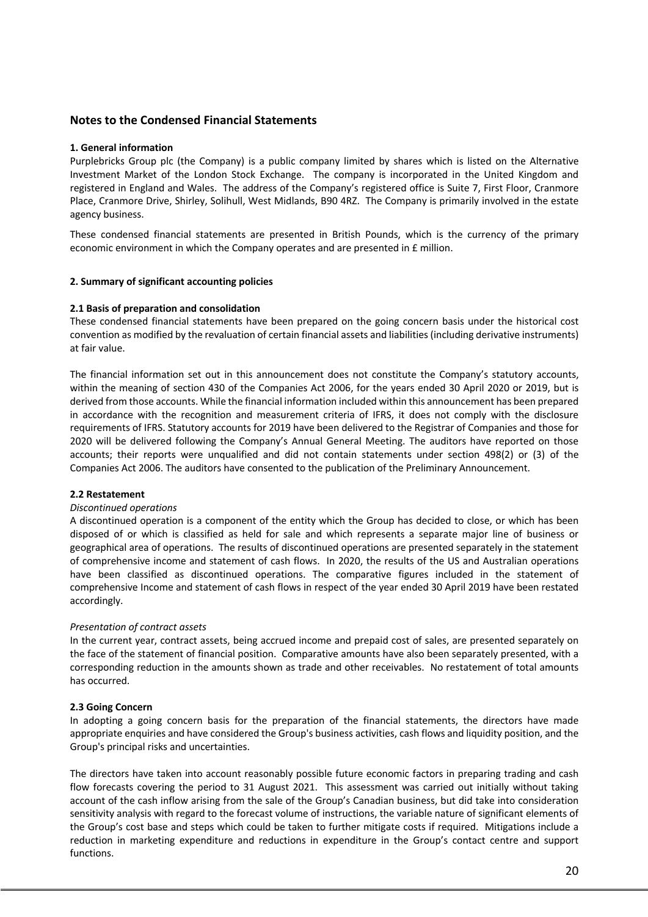## **Notes to the Condensed Financial Statements**

### **1. General information**

Purplebricks Group plc (the Company) is a public company limited by shares which is listed on the Alternative Investment Market of the London Stock Exchange. The company is incorporated in the United Kingdom and registered in England and Wales. The address of the Company's registered office is Suite 7, First Floor, Cranmore Place, Cranmore Drive, Shirley, Solihull, West Midlands, B90 4RZ. The Company is primarily involved in the estate agency business.

These condensed financial statements are presented in British Pounds, which is the currency of the primary economic environment in which the Company operates and are presented in £ million.

## **2. Summary of significant accounting policies**

### **2.1 Basis of preparation and consolidation**

These condensed financial statements have been prepared on the going concern basis under the historical cost convention as modified by the revaluation of certain financial assets and liabilities (including derivative instruments) at fair value.

The financial information set out in this announcement does not constitute the Company's statutory accounts, within the meaning of section 430 of the Companies Act 2006, for the years ended 30 April 2020 or 2019, but is derived from those accounts. While the financial information included within this announcement has been prepared in accordance with the recognition and measurement criteria of IFRS, it does not comply with the disclosure requirements of IFRS. Statutory accounts for 2019 have been delivered to the Registrar of Companies and those for 2020 will be delivered following the Company's Annual General Meeting. The auditors have reported on those accounts; their reports were unqualified and did not contain statements under section 498(2) or (3) of the Companies Act 2006. The auditors have consented to the publication of the Preliminary Announcement.

### **2.2 Restatement**

### *Discontinued operations*

A discontinued operation is a component of the entity which the Group has decided to close, or which has been disposed of or which is classified as held for sale and which represents a separate major line of business or geographical area of operations. The results of discontinued operations are presented separately in the statement of comprehensive income and statement of cash flows. In 2020, the results of the US and Australian operations have been classified as discontinued operations. The comparative figures included in the statement of comprehensive Income and statement of cash flows in respect of the year ended 30 April 2019 have been restated accordingly.

## *Presentation of contract assets*

In the current year, contract assets, being accrued income and prepaid cost of sales, are presented separately on the face of the statement of financial position. Comparative amounts have also been separately presented, with a corresponding reduction in the amounts shown as trade and other receivables. No restatement of total amounts has occurred.

### **2.3 Going Concern**

In adopting a going concern basis for the preparation of the financial statements, the directors have made appropriate enquiries and have considered the Group's business activities, cash flows and liquidity position, and the Group's principal risks and uncertainties.

The directors have taken into account reasonably possible future economic factors in preparing trading and cash flow forecasts covering the period to 31 August 2021. This assessment was carried out initially without taking account of the cash inflow arising from the sale of the Group's Canadian business, but did take into consideration sensitivity analysis with regard to the forecast volume of instructions, the variable nature of significant elements of the Group's cost base and steps which could be taken to further mitigate costs if required. Mitigations include a reduction in marketing expenditure and reductions in expenditure in the Group's contact centre and support functions.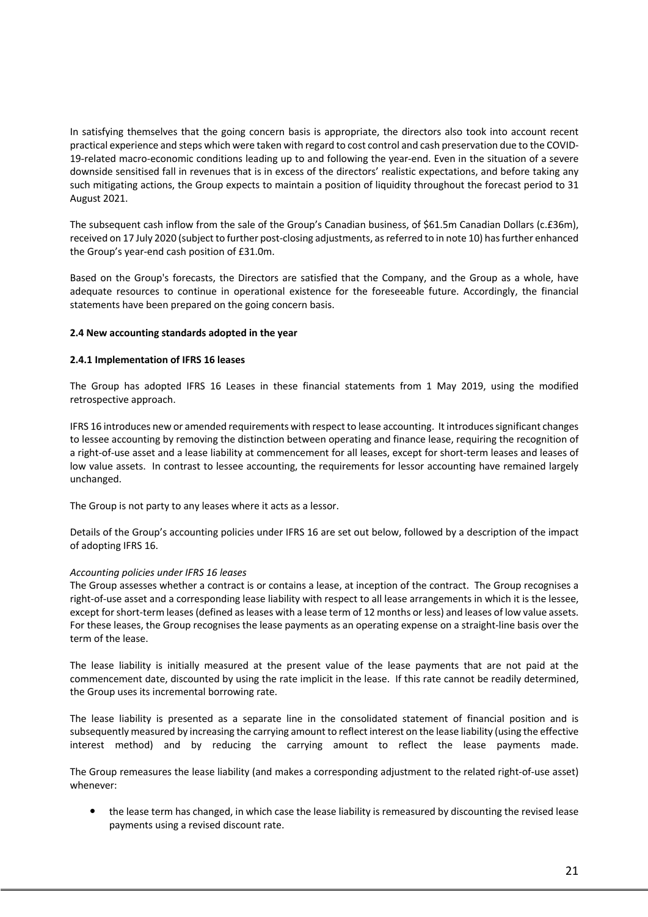In satisfying themselves that the going concern basis is appropriate, the directors also took into account recent practical experience and steps which were taken with regard to cost control and cash preservation due to the COVID-19-related macro-economic conditions leading up to and following the year-end. Even in the situation of a severe downside sensitised fall in revenues that is in excess of the directors' realistic expectations, and before taking any such mitigating actions, the Group expects to maintain a position of liquidity throughout the forecast period to 31 August 2021.

The subsequent cash inflow from the sale of the Group's Canadian business, of \$61.5m Canadian Dollars (c.£36m), received on 17 July 2020 (subject to further post-closing adjustments, as referred to in note 10) has further enhanced the Group's year-end cash position of £31.0m.

Based on the Group's forecasts, the Directors are satisfied that the Company, and the Group as a whole, have adequate resources to continue in operational existence for the foreseeable future. Accordingly, the financial statements have been prepared on the going concern basis.

### **2.4 New accounting standards adopted in the year**

### **2.4.1 Implementation of IFRS 16 leases**

The Group has adopted IFRS 16 Leases in these financial statements from 1 May 2019, using the modified retrospective approach.

IFRS 16 introduces new or amended requirements with respect to lease accounting. It introduces significant changes to lessee accounting by removing the distinction between operating and finance lease, requiring the recognition of a right-of-use asset and a lease liability at commencement for all leases, except for short-term leases and leases of low value assets. In contrast to lessee accounting, the requirements for lessor accounting have remained largely unchanged.

The Group is not party to any leases where it acts as a lessor.

Details of the Group's accounting policies under IFRS 16 are set out below, followed by a description of the impact of adopting IFRS 16.

### *Accounting policies under IFRS 16 leases*

The Group assesses whether a contract is or contains a lease, at inception of the contract. The Group recognises a right-of-use asset and a corresponding lease liability with respect to all lease arrangements in which it is the lessee, except for short-term leases (defined as leases with a lease term of 12 months or less) and leases of low value assets. For these leases, the Group recognises the lease payments as an operating expense on a straight-line basis over the term of the lease.

The lease liability is initially measured at the present value of the lease payments that are not paid at the commencement date, discounted by using the rate implicit in the lease. If this rate cannot be readily determined, the Group uses its incremental borrowing rate.

The lease liability is presented as a separate line in the consolidated statement of financial position and is subsequently measured by increasing the carrying amount to reflect interest on the lease liability (using the effective interest method) and by reducing the carrying amount to reflect the lease payments made.

The Group remeasures the lease liability (and makes a corresponding adjustment to the related right-of-use asset) whenever:

 the lease term has changed, in which case the lease liability is remeasured by discounting the revised lease payments using a revised discount rate.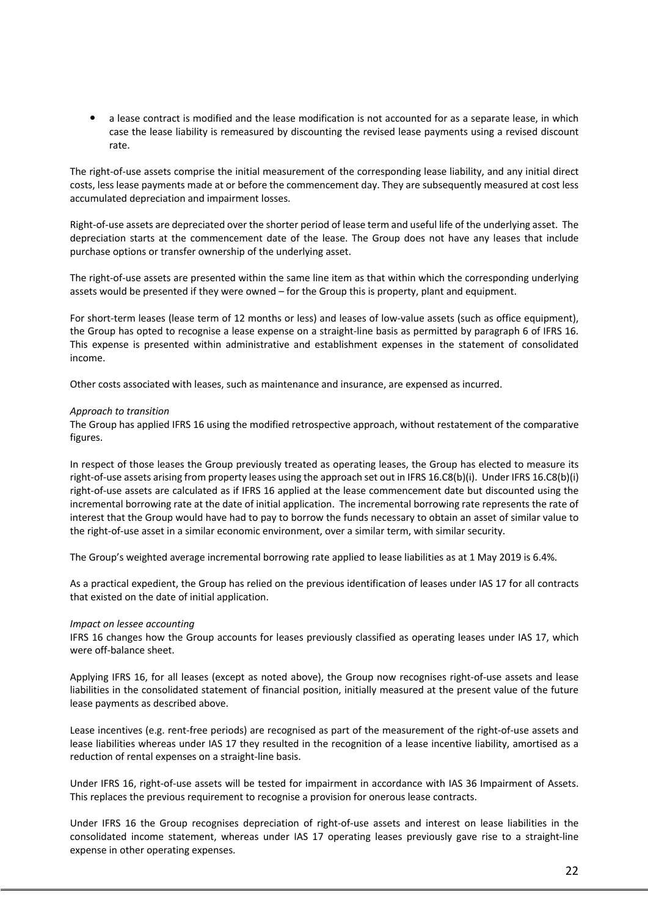a lease contract is modified and the lease modification is not accounted for as a separate lease, in which case the lease liability is remeasured by discounting the revised lease payments using a revised discount rate.

The right-of-use assets comprise the initial measurement of the corresponding lease liability, and any initial direct costs, less lease payments made at or before the commencement day. They are subsequently measured at cost less accumulated depreciation and impairment losses.

Right-of-use assets are depreciated over the shorter period of lease term and useful life of the underlying asset. The depreciation starts at the commencement date of the lease. The Group does not have any leases that include purchase options or transfer ownership of the underlying asset.

The right-of-use assets are presented within the same line item as that within which the corresponding underlying assets would be presented if they were owned – for the Group this is property, plant and equipment.

For short-term leases (lease term of 12 months or less) and leases of low-value assets (such as office equipment), the Group has opted to recognise a lease expense on a straight-line basis as permitted by paragraph 6 of IFRS 16. This expense is presented within administrative and establishment expenses in the statement of consolidated income.

Other costs associated with leases, such as maintenance and insurance, are expensed as incurred.

#### *Approach to transition*

The Group has applied IFRS 16 using the modified retrospective approach, without restatement of the comparative figures.

In respect of those leases the Group previously treated as operating leases, the Group has elected to measure its right-of-use assets arising from property leases using the approach set out in IFRS 16.C8(b)(i). Under IFRS 16.C8(b)(i) right-of-use assets are calculated as if IFRS 16 applied at the lease commencement date but discounted using the incremental borrowing rate at the date of initial application. The incremental borrowing rate represents the rate of interest that the Group would have had to pay to borrow the funds necessary to obtain an asset of similar value to the right-of-use asset in a similar economic environment, over a similar term, with similar security.

The Group's weighted average incremental borrowing rate applied to lease liabilities as at 1 May 2019 is 6.4%.

As a practical expedient, the Group has relied on the previous identification of leases under IAS 17 for all contracts that existed on the date of initial application.

### *Impact on lessee accounting*

IFRS 16 changes how the Group accounts for leases previously classified as operating leases under IAS 17, which were off-balance sheet.

Applying IFRS 16, for all leases (except as noted above), the Group now recognises right-of-use assets and lease liabilities in the consolidated statement of financial position, initially measured at the present value of the future lease payments as described above.

Lease incentives (e.g. rent-free periods) are recognised as part of the measurement of the right-of-use assets and lease liabilities whereas under IAS 17 they resulted in the recognition of a lease incentive liability, amortised as a reduction of rental expenses on a straight-line basis.

Under IFRS 16, right-of-use assets will be tested for impairment in accordance with IAS 36 Impairment of Assets. This replaces the previous requirement to recognise a provision for onerous lease contracts.

Under IFRS 16 the Group recognises depreciation of right-of-use assets and interest on lease liabilities in the consolidated income statement, whereas under IAS 17 operating leases previously gave rise to a straight-line expense in other operating expenses.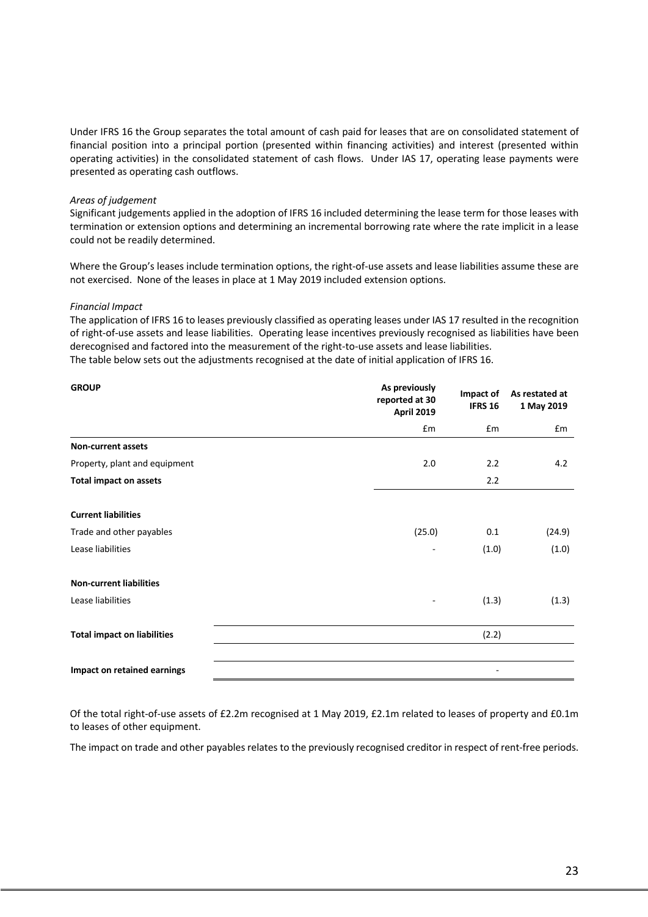Under IFRS 16 the Group separates the total amount of cash paid for leases that are on consolidated statement of financial position into a principal portion (presented within financing activities) and interest (presented within operating activities) in the consolidated statement of cash flows. Under IAS 17, operating lease payments were presented as operating cash outflows.

#### *Areas of judgement*

Significant judgements applied in the adoption of IFRS 16 included determining the lease term for those leases with termination or extension options and determining an incremental borrowing rate where the rate implicit in a lease could not be readily determined.

Where the Group's leases include termination options, the right-of-use assets and lease liabilities assume these are not exercised. None of the leases in place at 1 May 2019 included extension options.

#### *Financial Impact*

The application of IFRS 16 to leases previously classified as operating leases under IAS 17 resulted in the recognition of right-of-use assets and lease liabilities. Operating lease incentives previously recognised as liabilities have been derecognised and factored into the measurement of the right-to-use assets and lease liabilities. The table below sets out the adjustments recognised at the date of initial application of IFRS 16.

| <b>GROUP</b>                       | As previously<br>reported at 30<br>April 2019 | Impact of<br><b>IFRS 16</b> | As restated at<br>1 May 2019 |
|------------------------------------|-----------------------------------------------|-----------------------------|------------------------------|
|                                    | £m                                            | £m                          | £m                           |
| <b>Non-current assets</b>          |                                               |                             |                              |
| Property, plant and equipment      | 2.0                                           | 2.2                         | 4.2                          |
| <b>Total impact on assets</b>      |                                               | 2.2                         |                              |
|                                    |                                               |                             |                              |
| <b>Current liabilities</b>         |                                               |                             |                              |
| Trade and other payables           | (25.0)                                        | 0.1                         | (24.9)                       |
| Lease liabilities                  |                                               | (1.0)                       | (1.0)                        |
|                                    |                                               |                             |                              |
| <b>Non-current liabilities</b>     |                                               |                             |                              |
| Lease liabilities                  |                                               | (1.3)                       | (1.3)                        |
|                                    |                                               |                             |                              |
| <b>Total impact on liabilities</b> |                                               | (2.2)                       |                              |
|                                    |                                               |                             |                              |
| Impact on retained earnings        |                                               |                             |                              |

Of the total right-of-use assets of £2.2m recognised at 1 May 2019, £2.1m related to leases of property and £0.1m to leases of other equipment.

The impact on trade and other payables relates to the previously recognised creditor in respect of rent-free periods.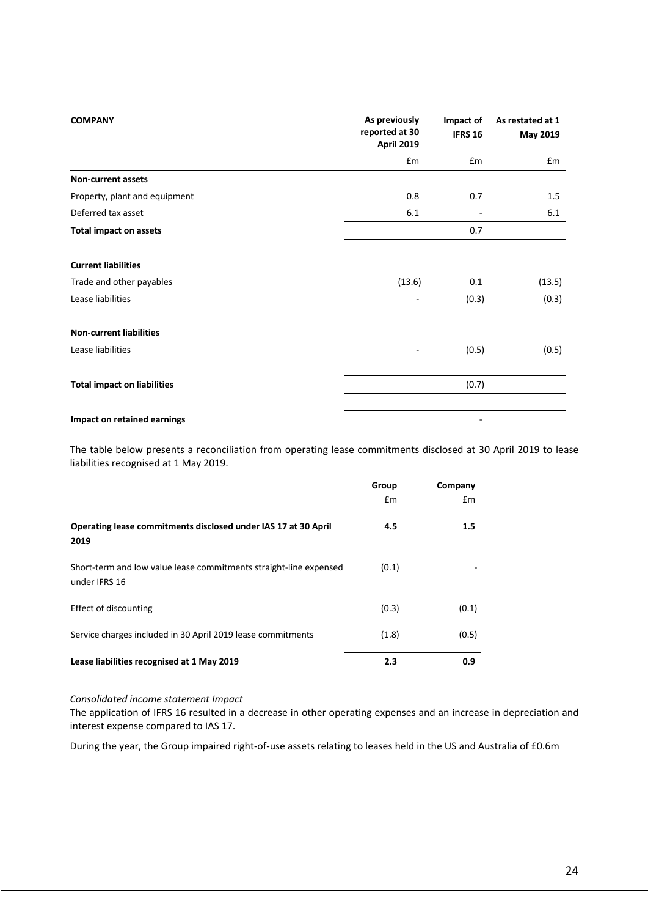| <b>COMPANY</b>                     | As previously<br>reported at 30<br><b>April 2019</b> | Impact of<br><b>IFRS 16</b> | As restated at 1<br>May 2019 |
|------------------------------------|------------------------------------------------------|-----------------------------|------------------------------|
|                                    | £m                                                   | £m                          | £m                           |
| Non-current assets                 |                                                      |                             |                              |
| Property, plant and equipment      | 0.8                                                  | 0.7                         | 1.5                          |
| Deferred tax asset                 | 6.1                                                  |                             | 6.1                          |
| <b>Total impact on assets</b>      |                                                      | 0.7                         |                              |
| <b>Current liabilities</b>         |                                                      |                             |                              |
| Trade and other payables           | (13.6)                                               | 0.1                         | (13.5)                       |
| Lease liabilities                  | $\overline{\phantom{a}}$                             | (0.3)                       | (0.3)                        |
| <b>Non-current liabilities</b>     |                                                      |                             |                              |
| Lease liabilities                  | $\overline{\phantom{a}}$                             | (0.5)                       | (0.5)                        |
| <b>Total impact on liabilities</b> |                                                      | (0.7)                       |                              |
| Impact on retained earnings        |                                                      |                             |                              |

The table below presents a reconciliation from operating lease commitments disclosed at 30 April 2019 to lease liabilities recognised at 1 May 2019.

|                                                                                    | Group | Company |
|------------------------------------------------------------------------------------|-------|---------|
|                                                                                    | £m    | £m      |
| Operating lease commitments disclosed under IAS 17 at 30 April<br>2019             | 4.5   | 1.5     |
| Short-term and low value lease commitments straight-line expensed<br>under IFRS 16 | (0.1) |         |
| <b>Effect of discounting</b>                                                       | (0.3) | (0.1)   |
| Service charges included in 30 April 2019 lease commitments                        | (1.8) | (0.5)   |
| Lease liabilities recognised at 1 May 2019                                         | 2.3   | 0.9     |

#### *Consolidated income statement Impact*

The application of IFRS 16 resulted in a decrease in other operating expenses and an increase in depreciation and interest expense compared to IAS 17.

During the year, the Group impaired right-of-use assets relating to leases held in the US and Australia of £0.6m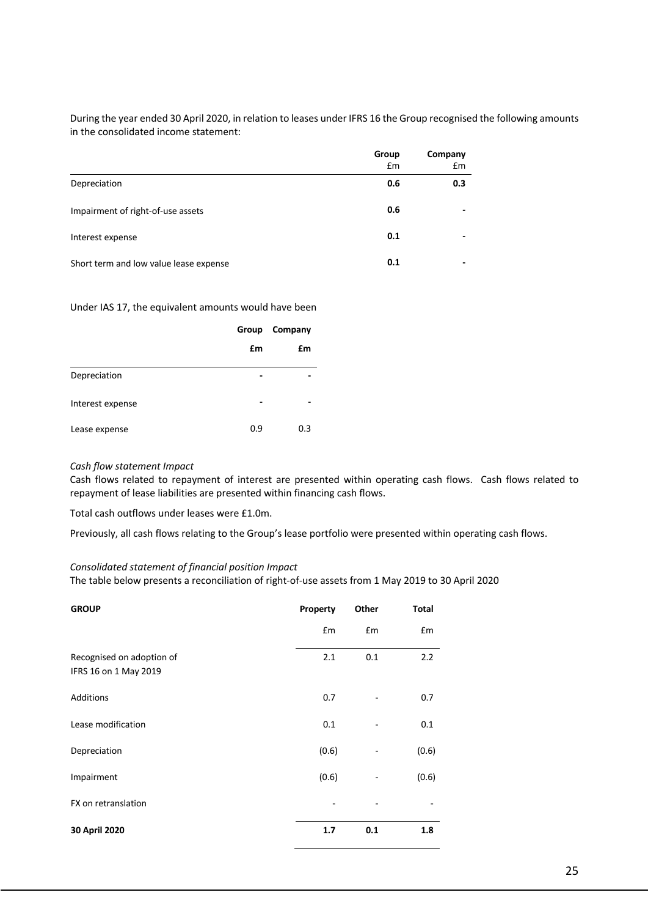During the year ended 30 April 2020, in relation to leases under IFRS 16 the Group recognised the following amounts in the consolidated income statement:

|                                        | Group<br>£m | Company<br>£m |
|----------------------------------------|-------------|---------------|
| Depreciation                           | 0.6         | 0.3           |
| Impairment of right-of-use assets      | 0.6         |               |
| Interest expense                       | 0.1         |               |
| Short term and low value lease expense | 0.1         |               |

Under IAS 17, the equivalent amounts would have been

|                  | Group | Company |
|------------------|-------|---------|
|                  | £m    | £m      |
| Depreciation     |       |         |
| Interest expense |       |         |
| Lease expense    | 0.9   | 0.3     |

### *Cash flow statement Impact*

Cash flows related to repayment of interest are presented within operating cash flows. Cash flows related to repayment of lease liabilities are presented within financing cash flows.

Total cash outflows under leases were £1.0m.

Previously, all cash flows relating to the Group's lease portfolio were presented within operating cash flows.

#### *Consolidated statement of financial position Impact*

The table below presents a reconciliation of right-of-use assets from 1 May 2019 to 30 April 2020

| <b>GROUP</b>                                       | Property | Other | <b>Total</b> |
|----------------------------------------------------|----------|-------|--------------|
|                                                    | £m       | £m    | £m           |
| Recognised on adoption of<br>IFRS 16 on 1 May 2019 | 2.1      | 0.1   | 2.2          |
| Additions                                          | 0.7      |       | 0.7          |
| Lease modification                                 | 0.1      |       | 0.1          |
| Depreciation                                       | (0.6)    | ٠     | (0.6)        |
| Impairment                                         | (0.6)    | ٠     | (0.6)        |
| FX on retranslation                                |          |       |              |
| 30 April 2020                                      | 1.7      | 0.1   | 1.8          |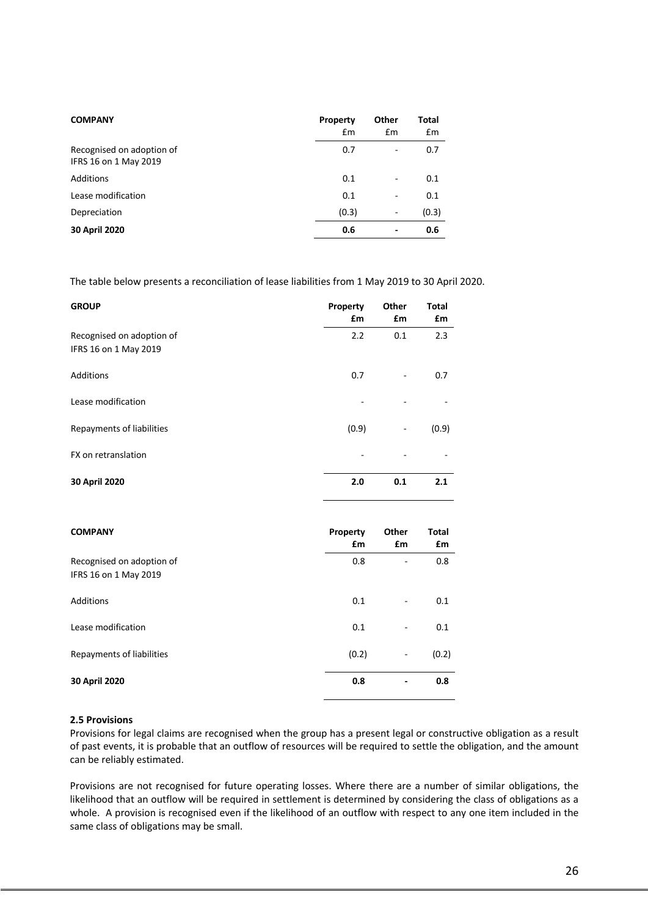| <b>COMPANY</b>                                     | Property<br>£m | Other<br>£m              | Total<br>£m |
|----------------------------------------------------|----------------|--------------------------|-------------|
| Recognised on adoption of<br>IFRS 16 on 1 May 2019 | 0.7            | ۰                        | 0.7         |
| <b>Additions</b>                                   | 0.1            | -                        | 0.1         |
| Lease modification                                 | 0.1            | -                        | 0.1         |
| Depreciation                                       | (0.3)          | $\qquad \qquad -$        | (0.3)       |
| 30 April 2020                                      | 0.6            | $\overline{\phantom{0}}$ | 0.6         |

The table below presents a reconciliation of lease liabilities from 1 May 2019 to 30 April 2020.

| <b>GROUP</b>                                       | Property<br>£m | Other<br>£m       | <b>Total</b><br>£m |
|----------------------------------------------------|----------------|-------------------|--------------------|
| Recognised on adoption of<br>IFRS 16 on 1 May 2019 | 2.2            | 0.1               | 2.3                |
| Additions                                          | 0.7            | $\qquad \qquad -$ | 0.7                |
| Lease modification                                 |                |                   |                    |
| Repayments of liabilities                          | (0.9)          | ۰                 | (0.9)              |
| FX on retranslation                                |                |                   |                    |
| 30 April 2020                                      | 2.0            | 0.1               | 2.1                |

| <b>COMPANY</b>                                     | Property<br>£m | Other<br>£m              | <b>Total</b><br>£m |
|----------------------------------------------------|----------------|--------------------------|--------------------|
| Recognised on adoption of<br>IFRS 16 on 1 May 2019 | 0.8            | -                        | 0.8                |
| Additions                                          | 0.1            |                          | 0.1                |
| Lease modification                                 | 0.1            | ۰                        | 0.1                |
| Repayments of liabilities                          | (0.2)          | $\overline{\phantom{a}}$ | (0.2)              |
| 30 April 2020                                      | 0.8            |                          | 0.8                |

## **2.5 Provisions**

Provisions for legal claims are recognised when the group has a present legal or constructive obligation as a result of past events, it is probable that an outflow of resources will be required to settle the obligation, and the amount can be reliably estimated.

Provisions are not recognised for future operating losses. Where there are a number of similar obligations, the likelihood that an outflow will be required in settlement is determined by considering the class of obligations as a whole. A provision is recognised even if the likelihood of an outflow with respect to any one item included in the same class of obligations may be small.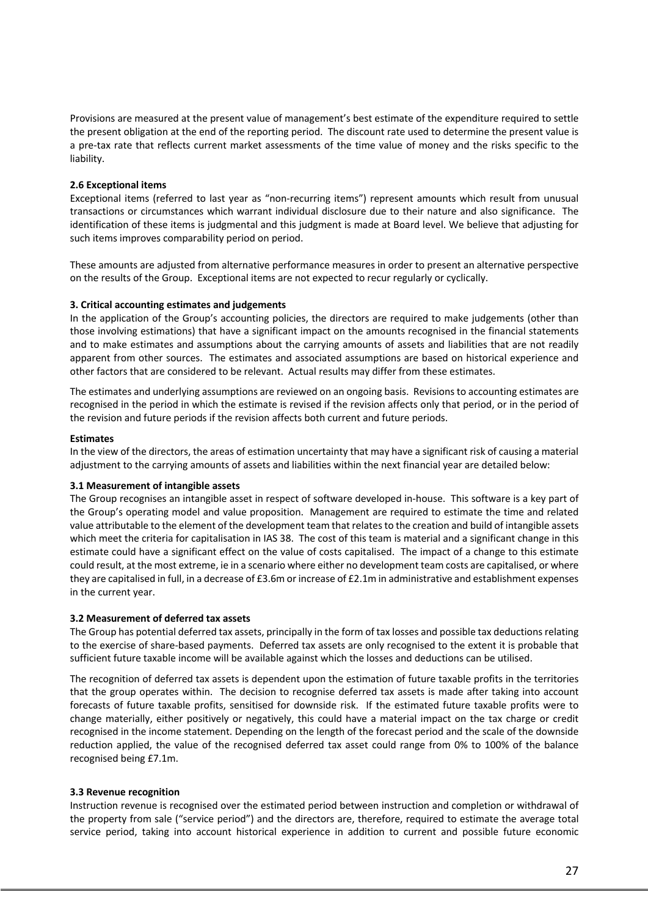Provisions are measured at the present value of management's best estimate of the expenditure required to settle the present obligation at the end of the reporting period. The discount rate used to determine the present value is a pre-tax rate that reflects current market assessments of the time value of money and the risks specific to the liability.

### **2.6 Exceptional items**

Exceptional items (referred to last year as "non-recurring items") represent amounts which result from unusual transactions or circumstances which warrant individual disclosure due to their nature and also significance. The identification of these items is judgmental and this judgment is made at Board level. We believe that adjusting for such items improves comparability period on period.

These amounts are adjusted from alternative performance measures in order to present an alternative perspective on the results of the Group. Exceptional items are not expected to recur regularly or cyclically.

## **3. Critical accounting estimates and judgements**

In the application of the Group's accounting policies, the directors are required to make judgements (other than those involving estimations) that have a significant impact on the amounts recognised in the financial statements and to make estimates and assumptions about the carrying amounts of assets and liabilities that are not readily apparent from other sources. The estimates and associated assumptions are based on historical experience and other factors that are considered to be relevant. Actual results may differ from these estimates.

The estimates and underlying assumptions are reviewed on an ongoing basis. Revisions to accounting estimates are recognised in the period in which the estimate is revised if the revision affects only that period, or in the period of the revision and future periods if the revision affects both current and future periods.

### **Estimates**

In the view of the directors, the areas of estimation uncertainty that may have a significant risk of causing a material adjustment to the carrying amounts of assets and liabilities within the next financial year are detailed below:

### **3.1 Measurement of intangible assets**

The Group recognises an intangible asset in respect of software developed in-house. This software is a key part of the Group's operating model and value proposition. Management are required to estimate the time and related value attributable to the element of the development team that relates to the creation and build of intangible assets which meet the criteria for capitalisation in IAS 38. The cost of this team is material and a significant change in this estimate could have a significant effect on the value of costs capitalised. The impact of a change to this estimate could result, at the most extreme, ie in a scenario where either no development team costs are capitalised, or where they are capitalised in full, in a decrease of £3.6m or increase of £2.1m in administrative and establishment expenses in the current year.

### **3.2 Measurement of deferred tax assets**

The Group has potential deferred tax assets, principally in the form of tax losses and possible tax deductions relating to the exercise of share-based payments. Deferred tax assets are only recognised to the extent it is probable that sufficient future taxable income will be available against which the losses and deductions can be utilised.

The recognition of deferred tax assets is dependent upon the estimation of future taxable profits in the territories that the group operates within. The decision to recognise deferred tax assets is made after taking into account forecasts of future taxable profits, sensitised for downside risk. If the estimated future taxable profits were to change materially, either positively or negatively, this could have a material impact on the tax charge or credit recognised in the income statement. Depending on the length of the forecast period and the scale of the downside reduction applied, the value of the recognised deferred tax asset could range from 0% to 100% of the balance recognised being £7.1m.

## **3.3 Revenue recognition**

Instruction revenue is recognised over the estimated period between instruction and completion or withdrawal of the property from sale ("service period") and the directors are, therefore, required to estimate the average total service period, taking into account historical experience in addition to current and possible future economic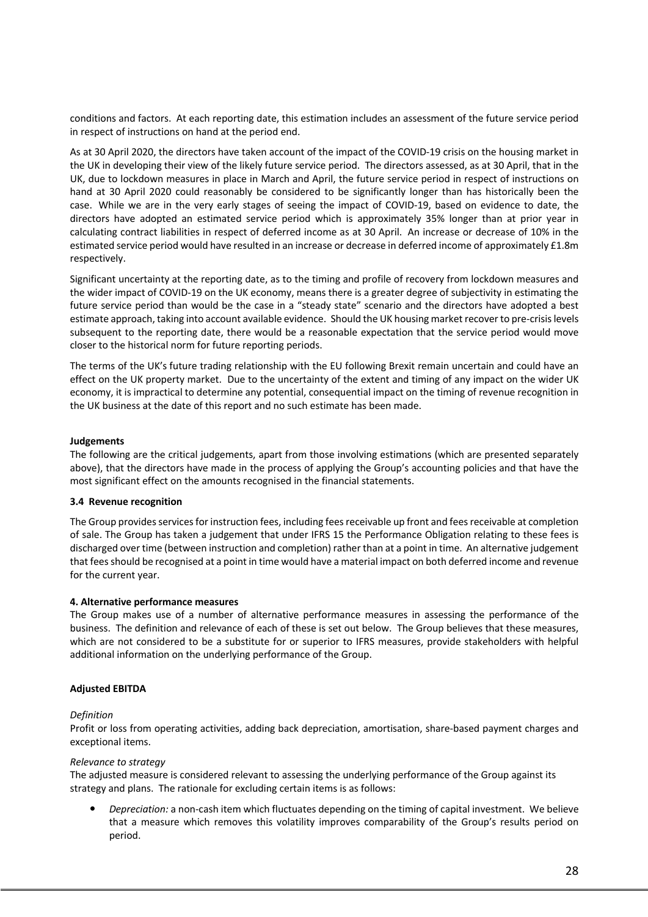conditions and factors. At each reporting date, this estimation includes an assessment of the future service period in respect of instructions on hand at the period end.

As at 30 April 2020, the directors have taken account of the impact of the COVID-19 crisis on the housing market in the UK in developing their view of the likely future service period. The directors assessed, as at 30 April, that in the UK, due to lockdown measures in place in March and April, the future service period in respect of instructions on hand at 30 April 2020 could reasonably be considered to be significantly longer than has historically been the case. While we are in the very early stages of seeing the impact of COVID-19, based on evidence to date, the directors have adopted an estimated service period which is approximately 35% longer than at prior year in calculating contract liabilities in respect of deferred income as at 30 April. An increase or decrease of 10% in the estimated service period would have resulted in an increase or decrease in deferred income of approximately £1.8m respectively.

Significant uncertainty at the reporting date, as to the timing and profile of recovery from lockdown measures and the wider impact of COVID-19 on the UK economy, means there is a greater degree of subjectivity in estimating the future service period than would be the case in a "steady state" scenario and the directors have adopted a best estimate approach, taking into account available evidence. Should the UK housing market recover to pre-crisis levels subsequent to the reporting date, there would be a reasonable expectation that the service period would move closer to the historical norm for future reporting periods.

The terms of the UK's future trading relationship with the EU following Brexit remain uncertain and could have an effect on the UK property market. Due to the uncertainty of the extent and timing of any impact on the wider UK economy, it is impractical to determine any potential, consequential impact on the timing of revenue recognition in the UK business at the date of this report and no such estimate has been made.

### **Judgements**

The following are the critical judgements, apart from those involving estimations (which are presented separately above), that the directors have made in the process of applying the Group's accounting policies and that have the most significant effect on the amounts recognised in the financial statements.

### **3.4 Revenue recognition**

The Group provides services for instruction fees, including fees receivable up front and fees receivable at completion of sale. The Group has taken a judgement that under IFRS 15 the Performance Obligation relating to these fees is discharged over time (between instruction and completion) rather than at a point in time. An alternative judgement that fees should be recognised at a point in time would have a material impact on both deferred income and revenue for the current year.

### **4. Alternative performance measures**

The Group makes use of a number of alternative performance measures in assessing the performance of the business. The definition and relevance of each of these is set out below. The Group believes that these measures, which are not considered to be a substitute for or superior to IFRS measures, provide stakeholders with helpful additional information on the underlying performance of the Group.

## **Adjusted EBITDA**

### *Definition*

Profit or loss from operating activities, adding back depreciation, amortisation, share-based payment charges and exceptional items.

### *Relevance to strategy*

The adjusted measure is considered relevant to assessing the underlying performance of the Group against its strategy and plans. The rationale for excluding certain items is as follows:

 *Depreciation:* a non-cash item which fluctuates depending on the timing of capital investment. We believe that a measure which removes this volatility improves comparability of the Group's results period on period.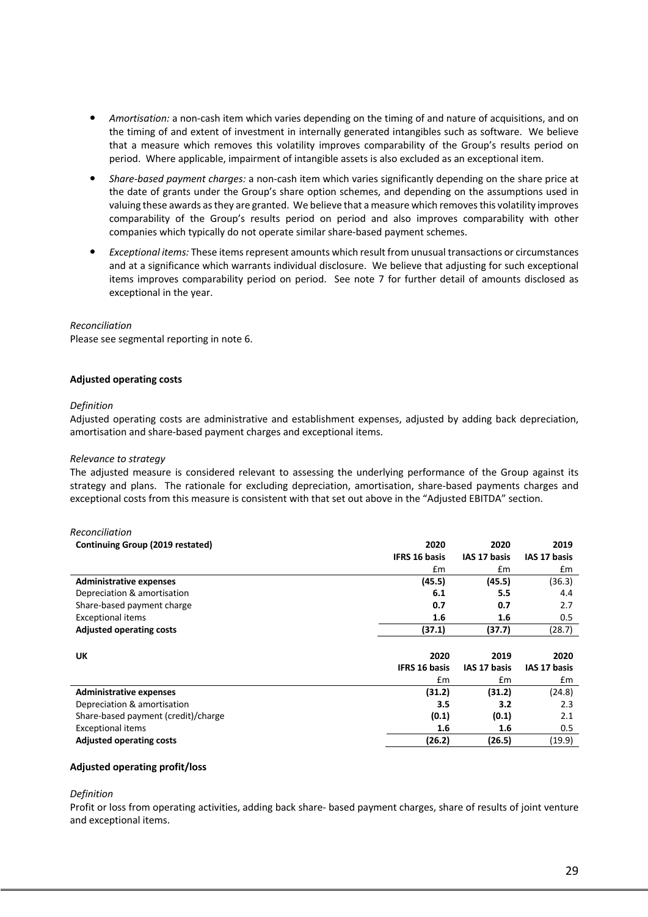- *Amortisation:* a non-cash item which varies depending on the timing of and nature of acquisitions, and on the timing of and extent of investment in internally generated intangibles such as software. We believe that a measure which removes this volatility improves comparability of the Group's results period on period. Where applicable, impairment of intangible assets is also excluded as an exceptional item.
- *Share-based payment charges:* a non-cash item which varies significantly depending on the share price at the date of grants under the Group's share option schemes, and depending on the assumptions used in valuing these awards as they are granted. We believe that a measure which removes this volatility improves comparability of the Group's results period on period and also improves comparability with other companies which typically do not operate similar share-based payment schemes.
- *Exceptional items:* These items represent amounts which result from unusual transactions or circumstances and at a significance which warrants individual disclosure. We believe that adjusting for such exceptional items improves comparability period on period. See note 7 for further detail of amounts disclosed as exceptional in the year.

#### *Reconciliation*

Please see segmental reporting in note 6.

#### **Adjusted operating costs**

#### *Definition*

Adjusted operating costs are administrative and establishment expenses, adjusted by adding back depreciation, amortisation and share-based payment charges and exceptional items.

#### *Relevance to strategy*

The adjusted measure is considered relevant to assessing the underlying performance of the Group against its strategy and plans. The rationale for excluding depreciation, amortisation, share-based payments charges and exceptional costs from this measure is consistent with that set out above in the "Adjusted EBITDA" section.

| Reconciliation                      |                      |              |              |
|-------------------------------------|----------------------|--------------|--------------|
| Continuing Group (2019 restated)    | 2020                 | 2020         | 2019         |
|                                     | <b>IFRS 16 basis</b> | IAS 17 basis | IAS 17 basis |
|                                     | £m                   | £m           | Em           |
| <b>Administrative expenses</b>      | (45.5)               | (45.5)       | (36.3)       |
| Depreciation & amortisation         | 6.1                  | 5.5          | 4.4          |
| Share-based payment charge          | 0.7                  | 0.7          | 2.7          |
| <b>Exceptional items</b>            | 1.6                  | 1.6          | 0.5          |
| <b>Adjusted operating costs</b>     | (37.1)               | (37.7)       | (28.7)       |
|                                     |                      |              |              |
| UK                                  | 2020                 | 2019         | 2020         |
|                                     | <b>IFRS 16 basis</b> | IAS 17 basis | IAS 17 basis |
|                                     | £m                   | Em           | Em           |
| <b>Administrative expenses</b>      | (31.2)               | (31.2)       | (24.8)       |
| Depreciation & amortisation         | 3.5                  | 3.2          | 2.3          |
| Share-based payment (credit)/charge | (0.1)                | (0.1)        | 2.1          |
| <b>Exceptional items</b>            | 1.6                  | 1.6          | 0.5          |
| <b>Adjusted operating costs</b>     | (26.2)               | (26.5)       | (19.9)       |

#### **Adjusted operating profit/loss**

#### *Definition*

Profit or loss from operating activities, adding back share- based payment charges, share of results of joint venture and exceptional items.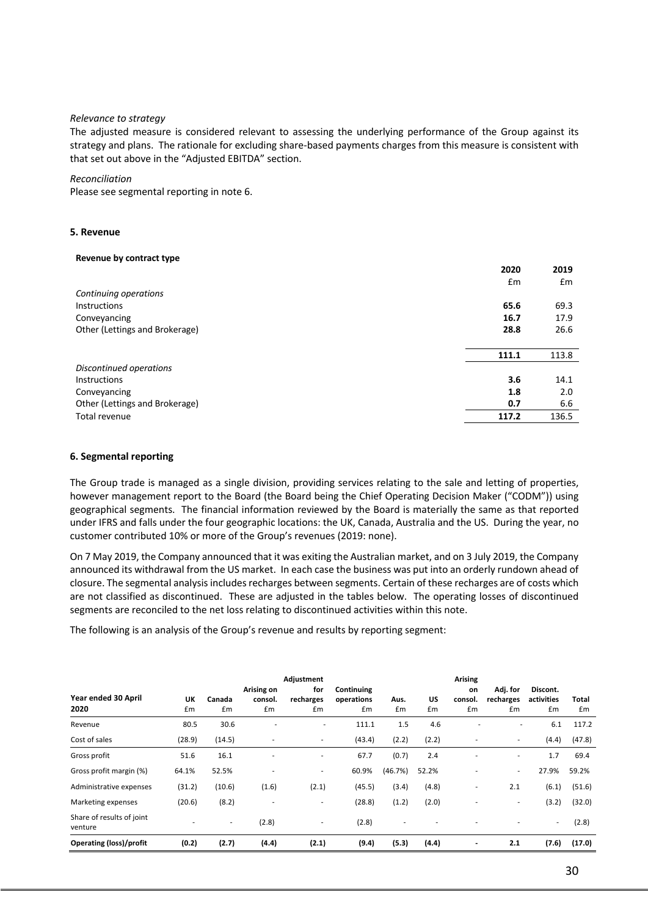#### *Relevance to strategy*

The adjusted measure is considered relevant to assessing the underlying performance of the Group against its strategy and plans. The rationale for excluding share-based payments charges from this measure is consistent with that set out above in the "Adjusted EBITDA" section.

#### *Reconciliation*

Please see segmental reporting in note 6.

#### **5. Revenue**

#### **Revenue by contract type**

|                                | 2020  | 2019  |
|--------------------------------|-------|-------|
|                                | £m    | Em    |
| Continuing operations          |       |       |
| <b>Instructions</b>            | 65.6  | 69.3  |
| Conveyancing                   | 16.7  | 17.9  |
| Other (Lettings and Brokerage) | 28.8  | 26.6  |
|                                |       |       |
|                                | 111.1 | 113.8 |
| Discontinued operations        |       |       |
| <b>Instructions</b>            | 3.6   | 14.1  |
| Conveyancing                   | 1.8   | 2.0   |
| Other (Lettings and Brokerage) | 0.7   | 6.6   |
| Total revenue                  | 117.2 | 136.5 |
|                                |       |       |

#### **6. Segmental reporting**

The Group trade is managed as a single division, providing services relating to the sale and letting of properties, however management report to the Board (the Board being the Chief Operating Decision Maker ("CODM")) using geographical segments. The financial information reviewed by the Board is materially the same as that reported under IFRS and falls under the four geographic locations: the UK, Canada, Australia and the US. During the year, no customer contributed 10% or more of the Group's revenues (2019: none).

On 7 May 2019, the Company announced that it was exiting the Australian market, and on 3 July 2019, the Company announced its withdrawal from the US market. In each case the business was put into an orderly rundown ahead of closure. The segmental analysis includes recharges between segments. Certain of these recharges are of costs which are not classified as discontinued. These are adjusted in the tables below. The operating losses of discontinued segments are reconciled to the net loss relating to discontinued activities within this note.

The following is an analysis of the Group's revenue and results by reporting segment:

| Year ended 30 April<br>2020          | UK<br>£m | Canada<br>£m | Arising on<br>consol.<br>£m | Adjustment<br>for<br>recharges<br>£m | Continuing<br>operations<br>£m | Aus.<br>£m               | US<br>£m                 | Arising<br>on<br>consol.<br>Em | Adj. for<br>recharges<br>£m | Discont.<br>activities<br>£m | Total<br>£m |
|--------------------------------------|----------|--------------|-----------------------------|--------------------------------------|--------------------------------|--------------------------|--------------------------|--------------------------------|-----------------------------|------------------------------|-------------|
| Revenue                              | 80.5     | 30.6         |                             | ٠                                    | 111.1                          | 1.5                      | 4.6                      |                                | ٠                           | 6.1                          | 117.2       |
| Cost of sales                        | (28.9)   | (14.5)       | ٠                           | ۰                                    | (43.4)                         | (2.2)                    | (2.2)                    |                                |                             | (4.4)                        | (47.8)      |
| Gross profit                         | 51.6     | 16.1         | ٠                           | ٠                                    | 67.7                           | (0.7)                    | 2.4                      |                                |                             | 1.7                          | 69.4        |
| Gross profit margin (%)              | 64.1%    | 52.5%        | ٠                           | ٠.                                   | 60.9%                          | (46.7%)                  | 52.2%                    |                                | $\sim$                      | 27.9%                        | 59.2%       |
| Administrative expenses              | (31.2)   | (10.6)       | (1.6)                       | (2.1)                                | (45.5)                         | (3.4)                    | (4.8)                    |                                | 2.1                         | (6.1)                        | (51.6)      |
| Marketing expenses                   | (20.6)   | (8.2)        | $\blacksquare$              | ۰.                                   | (28.8)                         | (1.2)                    | (2.0)                    |                                | ٠.                          | (3.2)                        | (32.0)      |
| Share of results of joint<br>venture |          | ۰            | (2.8)                       | ۰                                    | (2.8)                          | $\overline{\phantom{a}}$ | $\overline{\phantom{a}}$ |                                |                             | $\sim$                       | (2.8)       |
| <b>Operating (loss)/profit</b>       | (0.2)    | (2.7)        | (4.4)                       | (2.1)                                | (9.4)                          | (5.3)                    | (4.4)                    |                                | 2.1                         | (7.6)                        | (17.0)      |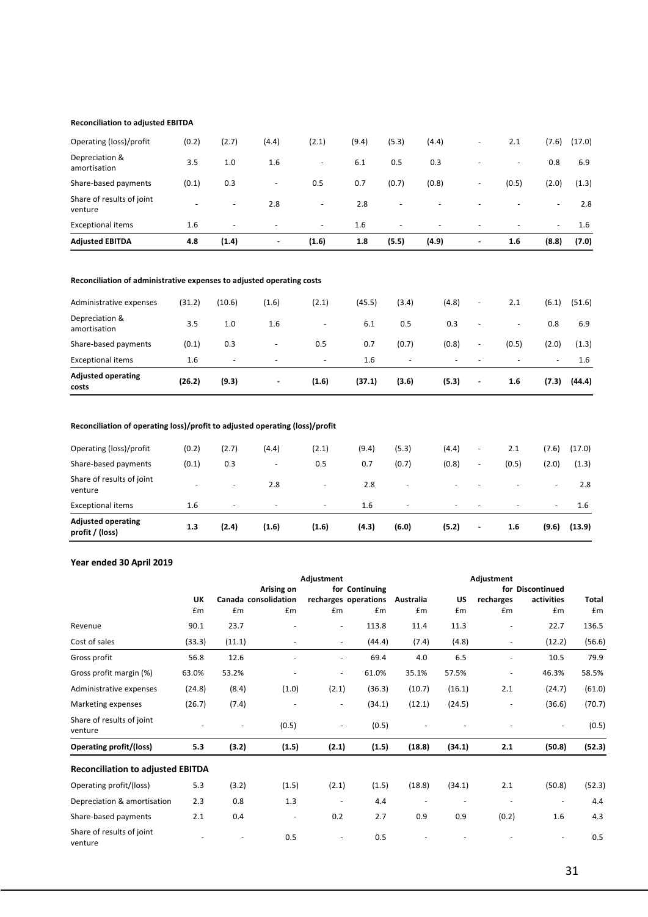#### **Reconciliation to adjusted EBITDA**

| <b>Adjusted EBITDA</b>               | 4.8   | (1.4)                    | $\blacksquare$           | (1.6)                    | 1.8   | (5.5)                    | (4.9) | $\overline{\phantom{a}}$ | 1.6                      | (8.8)                    | (7.0)  |
|--------------------------------------|-------|--------------------------|--------------------------|--------------------------|-------|--------------------------|-------|--------------------------|--------------------------|--------------------------|--------|
| <b>Exceptional items</b>             | 1.6   | $\overline{\phantom{0}}$ | $\overline{\phantom{0}}$ | $\overline{\phantom{a}}$ | 1.6   | $\overline{a}$           | -     | $\overline{\phantom{0}}$ | $\overline{\phantom{0}}$ | $\sim$                   | 1.6    |
| Share of results of joint<br>venture | -     | $\overline{\phantom{a}}$ | 2.8                      | $\overline{\phantom{0}}$ | 2.8   | $\overline{\phantom{a}}$ | -     | $\overline{\phantom{0}}$ | -                        | $\overline{\phantom{0}}$ | 2.8    |
| Share-based payments                 | (0.1) | 0.3                      | $\overline{\phantom{a}}$ | 0.5                      | 0.7   | (0.7)                    | (0.8) | $\overline{\phantom{a}}$ | (0.5)                    | (2.0)                    | (1.3)  |
| Depreciation &<br>amortisation       | 3.5   | 1.0                      | 1.6                      |                          | 6.1   | 0.5                      | 0.3   |                          | $\overline{\phantom{a}}$ | 0.8                      | 6.9    |
| Operating (loss)/profit              | (0.2) | (2.7)                    | (4.4)                    | (2.1)                    | (9.4) | (5.3)                    | (4.4) | $\overline{\phantom{a}}$ | 2.1                      | (7.6)                    | (17.0) |
|                                      |       |                          |                          |                          |       |                          |       |                          |                          |                          |        |

#### **Reconciliation of administrative expenses to adjusted operating costs**

| <b>Adjusted operating</b><br>costs | (26.2) | (9.3)                    | $\overline{\phantom{a}}$ | (1.6)                    | (37.1) | (3.6)                    | (5.3)                    | $\overline{\phantom{a}}$ | 1.6                      | (7.3)  | (44.4) |
|------------------------------------|--------|--------------------------|--------------------------|--------------------------|--------|--------------------------|--------------------------|--------------------------|--------------------------|--------|--------|
| <b>Exceptional items</b>           | 1.6    | $\overline{\phantom{a}}$ | $\overline{\phantom{0}}$ | $\overline{\phantom{a}}$ | 1.6    | $\overline{\phantom{a}}$ | $\overline{\phantom{a}}$ | $\overline{\phantom{0}}$ | $\overline{\phantom{0}}$ | $\sim$ | 1.6    |
| Share-based payments               | (0.1)  | 0.3                      | $\overline{\phantom{a}}$ | 0.5                      | 0.7    | (0.7)                    | (0.8)                    | $\overline{\phantom{a}}$ | (0.5)                    | (2.0)  | (1.3)  |
| Depreciation &<br>amortisation     | 3.5    | 1.0                      | 1.6                      | $\overline{\phantom{0}}$ | 6.1    | 0.5                      | 0.3                      | $\overline{\phantom{a}}$ | $\overline{\phantom{a}}$ | 0.8    | 6.9    |
| Administrative expenses            | (31.2) | (10.6)                   | (1.6)                    | (2.1)                    | (45.5) | (3.4)                    | (4.8)                    | $\overline{\phantom{a}}$ | 2.1                      | (6.1)  | (51.6) |

## **Reconciliation of operating loss)/profit to adjusted operating (loss)/profit**

| <b>Adjusted operating</b><br>profit / (loss) | 1.3   | (2.4)                    | (1.6)                    | (1.6)                    | (4.3) | (6.0)                    | (5.2)                    | $\blacksquare$           | 1.6                      | (9.6)                    | (13.9) |
|----------------------------------------------|-------|--------------------------|--------------------------|--------------------------|-------|--------------------------|--------------------------|--------------------------|--------------------------|--------------------------|--------|
| <b>Exceptional items</b>                     | 1.6   | $\overline{\phantom{a}}$ | $\overline{\phantom{a}}$ | $\overline{\phantom{a}}$ | 1.6   | $\overline{\phantom{0}}$ | $\overline{\phantom{0}}$ | $\sim$                   | $\overline{\phantom{0}}$ | $\sim$                   | 1.6    |
| Share of results of joint<br>venture         |       | $\overline{\phantom{0}}$ | 2.8                      | $\overline{\phantom{0}}$ | 2.8   | -                        | $\overline{\phantom{0}}$ |                          |                          | $\overline{\phantom{a}}$ | 2.8    |
| Share-based payments                         | (0.1) | 0.3                      | $\overline{\phantom{0}}$ | 0.5                      | 0.7   | (0.7)                    | (0.8)                    | $\overline{\phantom{a}}$ | (0.5)                    | (2.0)                    | (1.3)  |
| Operating (loss)/profit                      | (0.2) | (2.7)                    | (4.4)                    | (2.1)                    | (9.4) | (5.3)                    | (4.4)                    | $\overline{\phantom{0}}$ | 2.1                      | (7.6)                    | (17.0) |
|                                              |       |                          |                          |                          |       |                          |                          |                          |                          |                          |        |

## **Year ended 30 April 2019**

|                                          |        |                          | Adjustment               |                          |                      | Adjustment |        |               |                  |              |
|------------------------------------------|--------|--------------------------|--------------------------|--------------------------|----------------------|------------|--------|---------------|------------------|--------------|
|                                          |        |                          | Arising on               |                          | for Continuing       |            |        |               | for Discontinued |              |
|                                          | UK     | Canada consolidation     |                          |                          | recharges operations | Australia  | US     | recharges     | activities       | <b>Total</b> |
|                                          | £m     | Em                       | £m                       | £m                       | £m                   | £m         | Em     | $\mathsf{fm}$ | £m               | Em           |
| Revenue                                  | 90.1   | 23.7                     |                          | $\overline{\phantom{a}}$ | 113.8                | 11.4       | 11.3   | ÷,            | 22.7             | 136.5        |
| Cost of sales                            | (33.3) | (11.1)                   |                          | $\frac{1}{2}$            | (44.4)               | (7.4)      | (4.8)  |               | (12.2)           | (56.6)       |
| Gross profit                             | 56.8   | 12.6                     |                          | $\overline{\phantom{0}}$ | 69.4                 | 4.0        | 6.5    |               | 10.5             | 79.9         |
| Gross profit margin (%)                  | 63.0%  | 53.2%                    |                          | $\overline{\phantom{0}}$ | 61.0%                | 35.1%      | 57.5%  | ٠             | 46.3%            | 58.5%        |
| Administrative expenses                  | (24.8) | (8.4)                    | (1.0)                    | (2.1)                    | (36.3)               | (10.7)     | (16.1) | 2.1           | (24.7)           | (61.0)       |
| Marketing expenses                       | (26.7) | (7.4)                    |                          | $\overline{\phantom{a}}$ | (34.1)               | (12.1)     | (24.5) |               | (36.6)           | (70.7)       |
| Share of results of joint<br>venture     |        | $\overline{\phantom{a}}$ | (0.5)                    | Ξ.                       | (0.5)                |            |        |               |                  | (0.5)        |
| <b>Operating profit/(loss)</b>           | 5.3    | (3.2)                    | (1.5)                    | (2.1)                    | (1.5)                | (18.8)     | (34.1) | 2.1           | (50.8)           | (52.3)       |
| <b>Reconciliation to adjusted EBITDA</b> |        |                          |                          |                          |                      |            |        |               |                  |              |
| Operating profit/(loss)                  | 5.3    | (3.2)                    | (1.5)                    | (2.1)                    | (1.5)                | (18.8)     | (34.1) | 2.1           | (50.8)           | (52.3)       |
| Depreciation & amortisation              | 2.3    | 0.8                      | 1.3                      |                          | 4.4                  |            |        |               |                  | 4.4          |
| Share-based payments                     | 2.1    | 0.4                      | $\overline{\phantom{a}}$ | 0.2                      | 2.7                  | 0.9        | 0.9    | (0.2)         | 1.6              | 4.3          |
| Share of results of joint<br>venture     |        |                          | 0.5                      |                          | 0.5                  |            |        |               |                  | 0.5          |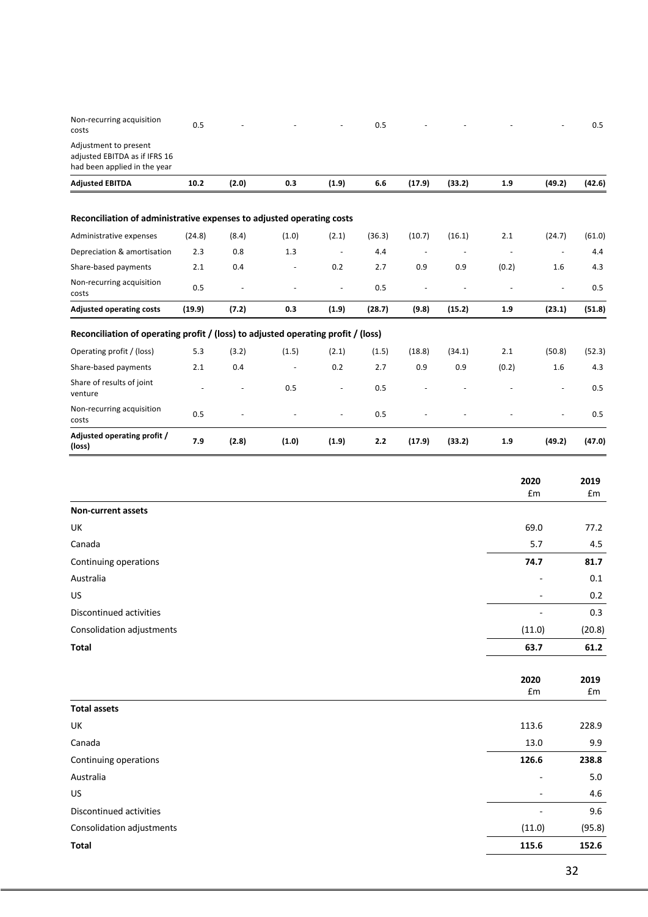| Non-recurring acquisition<br>costs                                                     | 0.5    |       |       |        | 0.5    |                          |        |       |        | 0.5    |
|----------------------------------------------------------------------------------------|--------|-------|-------|--------|--------|--------------------------|--------|-------|--------|--------|
| Adjustment to present<br>adjusted EBITDA as if IFRS 16<br>had been applied in the year |        |       |       |        |        |                          |        |       |        |        |
| <b>Adjusted EBITDA</b>                                                                 | 10.2   | (2.0) | 0.3   | (1.9)  | 6.6    | (17.9)                   | (33.2) | 1.9   | (49.2) | (42.6) |
| Reconciliation of administrative expenses to adjusted operating costs                  |        |       |       |        |        |                          |        |       |        |        |
| Administrative expenses                                                                | (24.8) | (8.4) | (1.0) | (2.1)  | (36.3) | (10.7)                   | (16.1) | 2.1   | (24.7) | (61.0) |
| Depreciation & amortisation                                                            | 2.3    | 0.8   | 1.3   | $\sim$ | 4.4    | $\overline{\phantom{a}}$ |        |       |        | 4.4    |
| Share-based payments                                                                   | 2.1    | 0.4   |       | 0.2    | 2.7    | 0.9                      | 0.9    | (0.2) | 1.6    | 4.3    |
| Non-recurring acquisition<br>costs                                                     | 0.5    |       | ٠     | $\sim$ | 0.5    | ÷,                       |        |       | ÷,     | 0.5    |
| <b>Adjusted operating costs</b>                                                        | (19.9) | (7.2) | 0.3   | (1.9)  | (28.7) | (9.8)                    | (15.2) | 1.9   | (23.1) | (51.8) |
| Reconciliation of operating profit / (loss) to adjusted operating profit / (loss)      |        |       |       |        |        |                          |        |       |        |        |
| Operating profit / (loss)                                                              | 5.3    | (3.2) | (1.5) | (2.1)  | (1.5)  | (18.8)                   | (34.1) | 2.1   | (50.8) | (52.3) |
| Share-based payments                                                                   | 2.1    | 0.4   |       | 0.2    | 2.7    | 0.9                      | 0.9    | (0.2) | 1.6    | 4.3    |
| Share of results of joint<br>venture                                                   |        |       | 0.5   |        | 0.5    |                          |        |       |        | 0.5    |
| Non-recurring acquisition<br>costs                                                     | 0.5    |       |       |        | 0.5    |                          |        |       |        | 0.5    |
| Adjusted operating profit /<br>(loss)                                                  | 7.9    | (2.8) | (1.0) | (1.9)  | 2.2    | (17.9)                   | (33.2) | 1.9   | (49.2) | (47.0) |

|                           | 2020<br>£m               | 2019<br>£m |
|---------------------------|--------------------------|------------|
| Non-current assets        |                          |            |
| UK                        | 69.0                     | 77.2       |
| Canada                    | 5.7                      | 4.5        |
| Continuing operations     | 74.7                     | 81.7       |
| Australia                 |                          | 0.1        |
| US                        |                          | $0.2\,$    |
| Discontinued activities   |                          | 0.3        |
| Consolidation adjustments | (11.0)                   | (20.8)     |
| <b>Total</b>              | 63.7                     | 61.2       |
|                           | 2020<br>£m               | 2019<br>£m |
| <b>Total assets</b>       |                          |            |
| UK                        | 113.6                    | 228.9      |
| Canada                    | 13.0                     | 9.9        |
| Continuing operations     | 126.6                    | 238.8      |
| Australia                 |                          | 5.0        |
| US                        | $\overline{\phantom{a}}$ | 4.6        |
| Discontinued activities   |                          | 9.6        |
| Consolidation adjustments | (11.0)                   | (95.8)     |
| <b>Total</b>              | 115.6                    | 152.6      |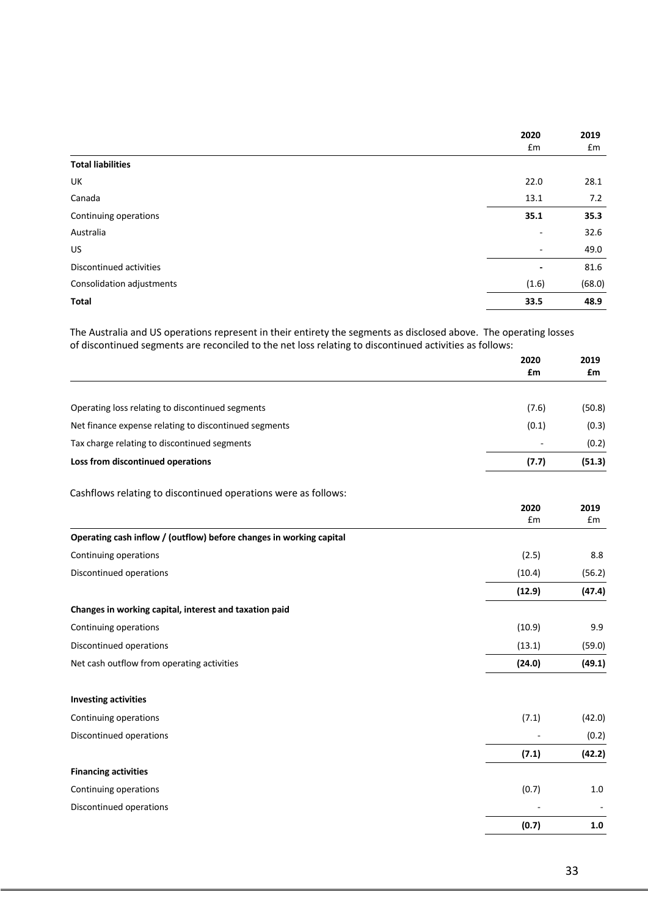|                           | 2020                     | 2019   |
|---------------------------|--------------------------|--------|
|                           | £m                       | £m     |
| <b>Total liabilities</b>  |                          |        |
| UK                        | 22.0                     | 28.1   |
| Canada                    | 13.1                     | 7.2    |
| Continuing operations     | 35.1                     | 35.3   |
| Australia                 | $\overline{\phantom{a}}$ | 32.6   |
| US.                       | $\overline{\phantom{a}}$ | 49.0   |
| Discontinued activities   | $\overline{\phantom{0}}$ | 81.6   |
| Consolidation adjustments | (1.6)                    | (68.0) |
| <b>Total</b>              | 33.5                     | 48.9   |

The Australia and US operations represent in their entirety the segments as disclosed above. The operating losses of discontinued segments are reconciled to the net loss relating to discontinued activities as follows:

|                                                                     | 2020<br>£m | 2019<br>£m |
|---------------------------------------------------------------------|------------|------------|
|                                                                     |            |            |
| Operating loss relating to discontinued segments                    | (7.6)      | (50.8)     |
| Net finance expense relating to discontinued segments               | (0.1)      | (0.3)      |
| Tax charge relating to discontinued segments                        |            | (0.2)      |
| Loss from discontinued operations                                   | (7.7)      | (51.3)     |
| Cashflows relating to discontinued operations were as follows:      |            |            |
|                                                                     | 2020<br>£m | 2019<br>£m |
| Operating cash inflow / (outflow) before changes in working capital |            |            |
| Continuing operations                                               | (2.5)      | 8.8        |
| Discontinued operations                                             | (10.4)     | (56.2)     |
|                                                                     | (12.9)     | (47.4)     |
| Changes in working capital, interest and taxation paid              |            |            |
| Continuing operations                                               | (10.9)     | 9.9        |
| Discontinued operations                                             | (13.1)     | (59.0)     |
| Net cash outflow from operating activities                          | (24.0)     | (49.1)     |
| <b>Investing activities</b>                                         |            |            |
| Continuing operations                                               | (7.1)      | (42.0)     |
| Discontinued operations                                             |            | (0.2)      |
|                                                                     | (7.1)      | (42.2)     |
| <b>Financing activities</b>                                         |            |            |
| Continuing operations                                               | (0.7)      | $1.0$      |
| Discontinued operations                                             |            |            |
|                                                                     | (0.7)      | $1.0\,$    |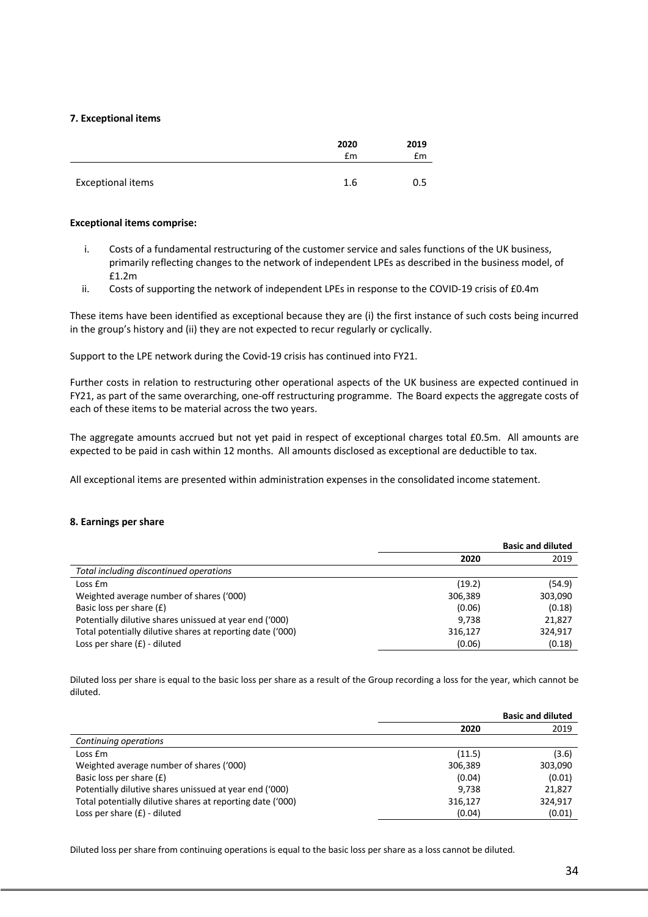### **7. Exceptional items**

|                          | 2020<br>£m | 2019<br>£m |
|--------------------------|------------|------------|
| <b>Exceptional items</b> | 1.6        | 0.5        |

### **Exceptional items comprise:**

- i. Costs of a fundamental restructuring of the customer service and sales functions of the UK business, primarily reflecting changes to the network of independent LPEs as described in the business model, of £1.2m
- ii. Costs of supporting the network of independent LPEs in response to the COVID-19 crisis of £0.4m

These items have been identified as exceptional because they are (i) the first instance of such costs being incurred in the group's history and (ii) they are not expected to recur regularly or cyclically.

Support to the LPE network during the Covid-19 crisis has continued into FY21.

Further costs in relation to restructuring other operational aspects of the UK business are expected continued in FY21, as part of the same overarching, one-off restructuring programme. The Board expects the aggregate costs of each of these items to be material across the two years.

The aggregate amounts accrued but not yet paid in respect of exceptional charges total £0.5m. All amounts are expected to be paid in cash within 12 months. All amounts disclosed as exceptional are deductible to tax.

All exceptional items are presented within administration expenses in the consolidated income statement.

### **8. Earnings per share**

|                                                            |         | <b>Basic and diluted</b> |
|------------------------------------------------------------|---------|--------------------------|
|                                                            | 2020    | 2019                     |
| Total including discontinued operations                    |         |                          |
| Loss Em                                                    | (19.2)  | (54.9)                   |
| Weighted average number of shares ('000)                   | 306,389 | 303,090                  |
| Basic loss per share (£)                                   | (0.06)  | (0.18)                   |
| Potentially dilutive shares unissued at year end ('000)    | 9.738   | 21,827                   |
| Total potentially dilutive shares at reporting date ('000) | 316,127 | 324,917                  |
| Loss per share $(f)$ - diluted                             | (0.06)  | (0.18)                   |

Diluted loss per share is equal to the basic loss per share as a result of the Group recording a loss for the year, which cannot be diluted.

|                                                            |         | <b>Basic and diluted</b> |
|------------------------------------------------------------|---------|--------------------------|
|                                                            | 2020    | 2019                     |
| Continuing operations                                      |         |                          |
| Loss £m                                                    | (11.5)  | (3.6)                    |
| Weighted average number of shares ('000)                   | 306,389 | 303,090                  |
| Basic loss per share (£)                                   | (0.04)  | (0.01)                   |
| Potentially dilutive shares unissued at year end ('000)    | 9.738   | 21,827                   |
| Total potentially dilutive shares at reporting date ('000) | 316,127 | 324.917                  |
| Loss per share $(f)$ - diluted                             | (0.04)  | (0.01)                   |

Diluted loss per share from continuing operations is equal to the basic loss per share as a loss cannot be diluted.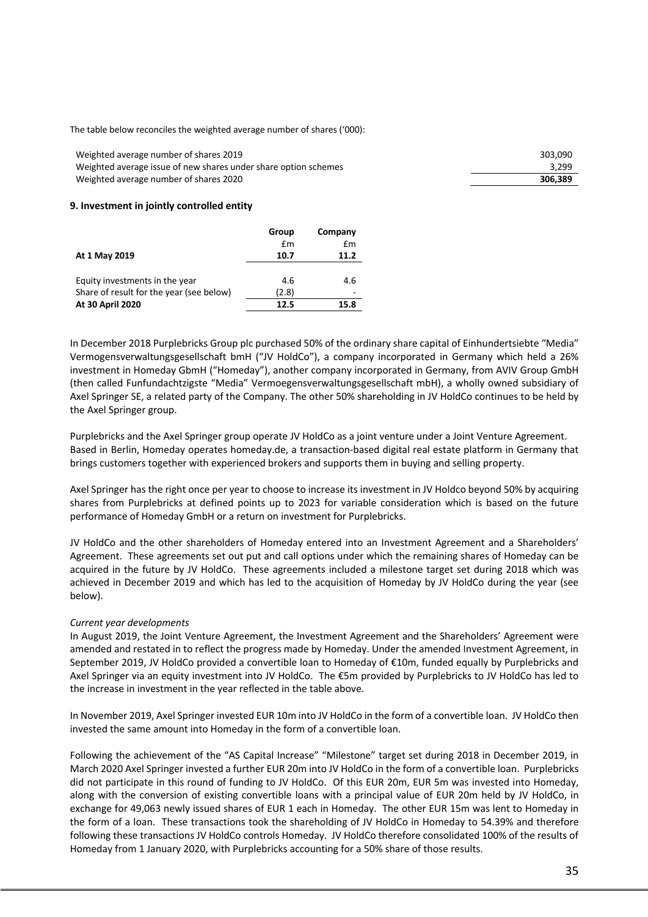The table below reconciles the weighted average number of shares ('000):

Weighted average number of shares 2019 Weighted average issue of new shares under share option schemes Weighted average number of shares 2020

| 306,389 |
|---------|
| 3,299   |
| 303,090 |

#### **9. Investment in jointly controlled entity**

|                                          | Group | Company |
|------------------------------------------|-------|---------|
|                                          | £m    | £m      |
| At 1 May 2019                            | 10.7  | 11.2    |
|                                          |       |         |
| Equity investments in the year           | 4.6   | 4.6     |
| Share of result for the year (see below) | (2.8) |         |
| At 30 April 2020                         | 12.5  | 15.8    |

In December 2018 Purplebricks Group plc purchased 50% of the ordinary share capital of Einhundertsiebte "Media" Vermogensverwaltungsgesellschaft bmH ("JV HoldCo"), a company incorporated in Germany which held a 26% investment in Homeday GbmH ("Homeday"), another company incorporated in Germany, from AVIV Group GmbH (then called Funfundachtzigste "Media" Vermoegensverwaltungsgesellschaft mbH), a wholly owned subsidiary of Axel Springer SE, a related party of the Company. The other 50% shareholding in JV HoldCo continues to be held by the Axel Springer group.

Purplebricks and the Axel Springer group operate JV HoldCo as a joint venture under a Joint Venture Agreement. Based in Berlin, Homeday operates homeday.de, a transaction-based digital real estate platform in Germany that brings customers together with experienced brokers and supports them in buying and selling property.

Axel Springer has the right once per year to choose to increase its investment in JV Holdco beyond 50% by acquiring shares from Purplebricks at defined points up to 2023 for variable consideration which is based on the future performance of Homeday GmbH or a return on investment for Purplebricks.

JV HoldCo and the other shareholders of Homeday entered into an Investment Agreement and a Shareholders' Agreement. These agreements set out put and call options under which the remaining shares of Homeday can be acquired in the future by JV HoldCo. These agreements included a milestone target set during 2018 which was achieved in December 2019 and which has led to the acquisition of Homeday by JV HoldCo during the year (see below).

### *Current year developments*

In August 2019, the Joint Venture Agreement, the Investment Agreement and the Shareholders' Agreement were amended and restated in to reflect the progress made by Homeday. Under the amended Investment Agreement, in September 2019, JV HoldCo provided a convertible loan to Homeday of €10m, funded equally by Purplebricks and Axel Springer via an equity investment into JV HoldCo. The €5m provided by Purplebricks to JV HoldCo has led to the increase in investment in the year reflected in the table above.

In November 2019, Axel Springer invested EUR 10m into JV HoldCo in the form of a convertible loan. JV HoldCo then invested the same amount into Homeday in the form of a convertible loan.

Following the achievement of the "AS Capital Increase" "Milestone" target set during 2018 in December 2019, in March 2020 Axel Springer invested a further EUR 20m into JV HoldCo in the form of a convertible loan. Purplebricks did not participate in this round of funding to JV HoldCo. Of this EUR 20m, EUR 5m was invested into Homeday, along with the conversion of existing convertible loans with a principal value of EUR 20m held by JV HoldCo, in exchange for 49,063 newly issued shares of EUR 1 each in Homeday. The other EUR 15m was lent to Homeday in the form of a loan. These transactions took the shareholding of JV HoldCo in Homeday to 54.39% and therefore following these transactions JV HoldCo controls Homeday. JV HoldCo therefore consolidated 100% of the results of Homeday from 1 January 2020, with Purplebricks accounting for a 50% share of those results.